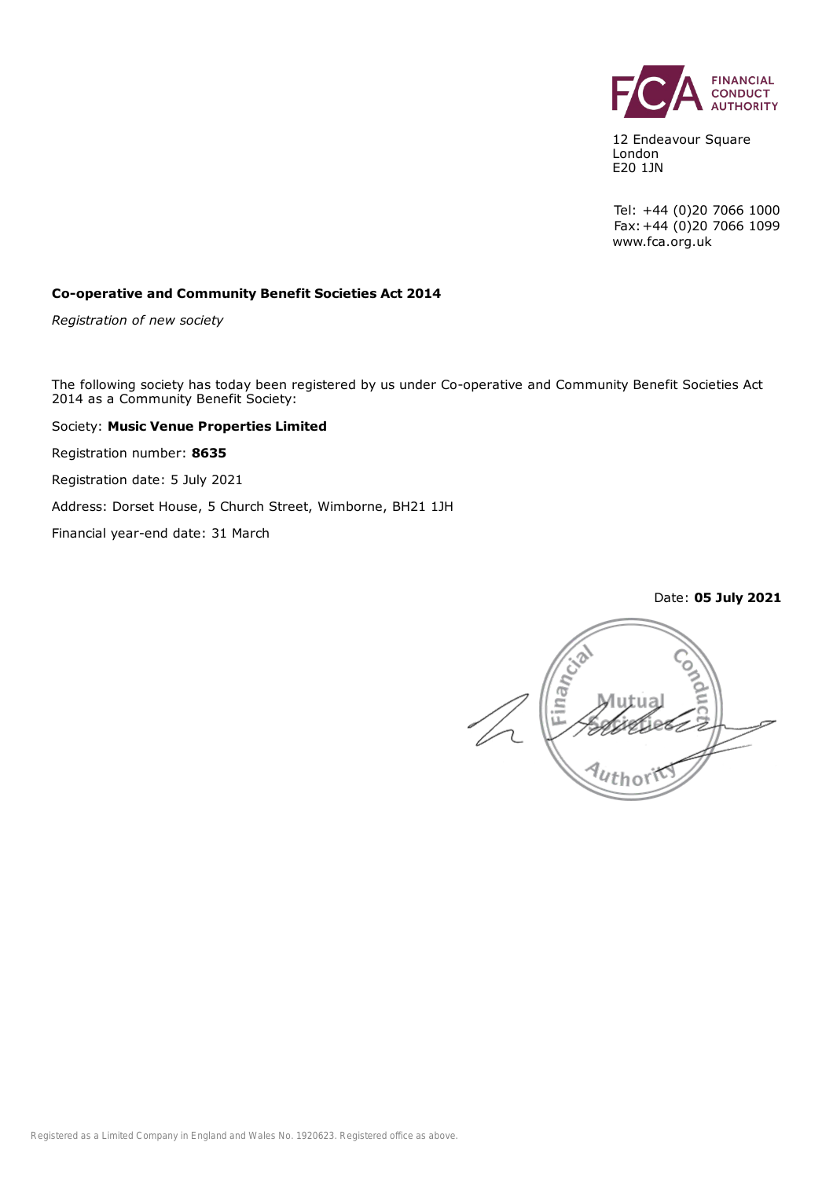

12 Endeavour Square London E20 1JN

Tel: +44 (0)20 7066 1000 Fax:+44 (0)20 7066 1099 www.fca.org.uk

Date: **05 July 2021**

#### **Co-operative and Community Benefit Societies Act 2014**

*Registration of new society*

The following society has today been registered by us under Co-operative and Community Benefit Societies Act 2014 as a Community Benefit Society:

Society: **Music Venue Properties Limited**

Registration number: **8635**

Registration date: 5 July 2021

Address: Dorset House, 5 Church Street, Wimborne, BH21 1JH

Financial year-end date: 31 March

Financ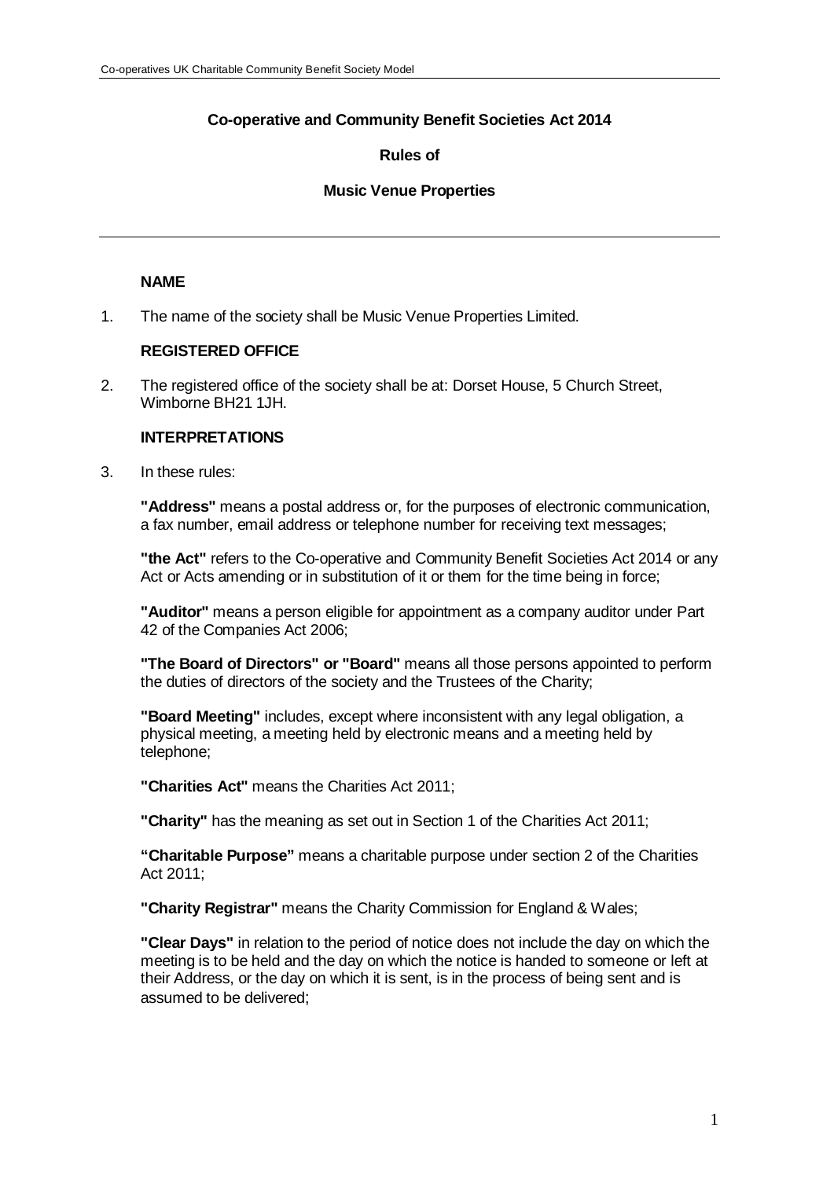# **Co-operative and Community Benefit Societies Act 2014**

# **Rules of**

# **Music Venue Properties**

# **NAME**

1. The name of the society shall be Music Venue Properties Limited.

# **REGISTERED OFFICE**

2. The registered office of the society shall be at: Dorset House, 5 Church Street, Wimborne BH21 1JH.

# **INTERPRETATIONS**

3. In these rules:

**"Address"** means a postal address or, for the purposes of electronic communication, a fax number, email address or telephone number for receiving text messages;

**"the Act"** refers to the Co-operative and Community Benefit Societies Act 2014 or any Act or Acts amending or in substitution of it or them for the time being in force;

**"Auditor"** means a person eligible for appointment as a company auditor under Part 42 of the Companies Act 2006;

**"The Board of Directors" or "Board"** means all those persons appointed to perform the duties of directors of the society and the Trustees of the Charity;

**"Board Meeting"** includes, except where inconsistent with any legal obligation, a physical meeting, a meeting held by electronic means and a meeting held by telephone;

**"Charities Act"** means the Charities Act 2011;

**"Charity"** has the meaning as set out in Section 1 of the Charities Act 2011;

**"Charitable Purpose"** means a charitable purpose under section 2 of the Charities Act 2011;

**"Charity Registrar"** means the Charity Commission for England & Wales;

**"Clear Days"** in relation to the period of notice does not include the day on which the meeting is to be held and the day on which the notice is handed to someone or left at their Address, or the day on which it is sent, is in the process of being sent and is assumed to be delivered;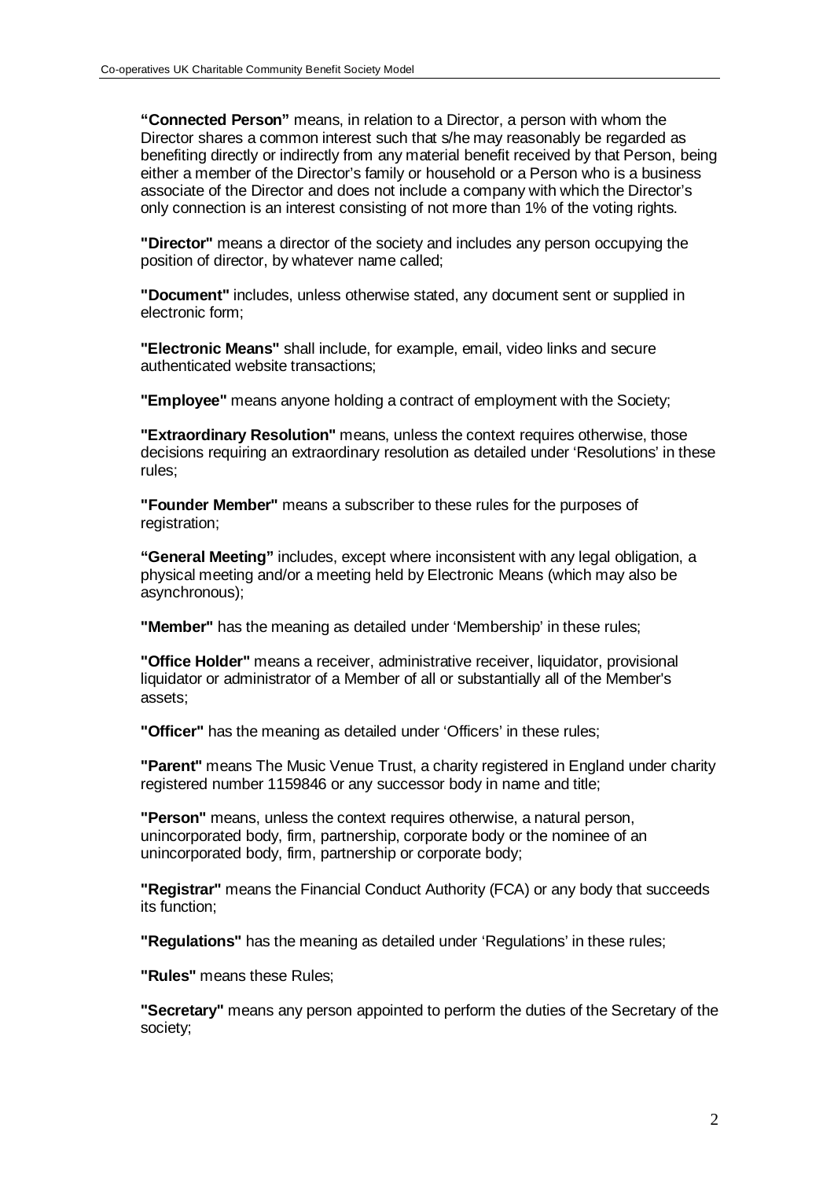**"Connected Person"** means, in relation to a Director, a person with whom the Director shares a common interest such that s/he may reasonably be regarded as benefiting directly or indirectly from any material benefit received by that Person, being either a member of the Director's family or household or a Person who is a business associate of the Director and does not include a company with which the Director's only connection is an interest consisting of not more than 1% of the voting rights.

**"Director"** means a director of the society and includes any person occupying the position of director, by whatever name called;

**"Document"** includes, unless otherwise stated, any document sent or supplied in electronic form;

**"Electronic Means"** shall include, for example, email, video links and secure authenticated website transactions;

**"Employee"** means anyone holding a contract of employment with the Society;

**"Extraordinary Resolution"** means, unless the context requires otherwise, those decisions requiring an extraordinary resolution as detailed under 'Resolutions' in these rules;

**"Founder Member"** means a subscriber to these rules for the purposes of registration:

**"General Meeting"** includes, except where inconsistent with any legal obligation, a physical meeting and/or a meeting held by Electronic Means (which may also be asynchronous);

**"Member"** has the meaning as detailed under 'Membership' in these rules;

**"Office Holder"** means a receiver, administrative receiver, liquidator, provisional liquidator or administrator of a Member of all or substantially all of the Member's assets;

**"Officer"** has the meaning as detailed under 'Officers' in these rules;

**"Parent"** means The Music Venue Trust, a charity registered in England under charity registered number 1159846 or any successor body in name and title;

**"Person"** means, unless the context requires otherwise, a natural person, unincorporated body, firm, partnership, corporate body or the nominee of an unincorporated body, firm, partnership or corporate body;

**"Registrar"** means the Financial Conduct Authority (FCA) or any body that succeeds its function;

**"Regulations"** has the meaning as detailed under 'Regulations' in these rules;

**"Rules"** means these Rules;

**"Secretary"** means any person appointed to perform the duties of the Secretary of the society;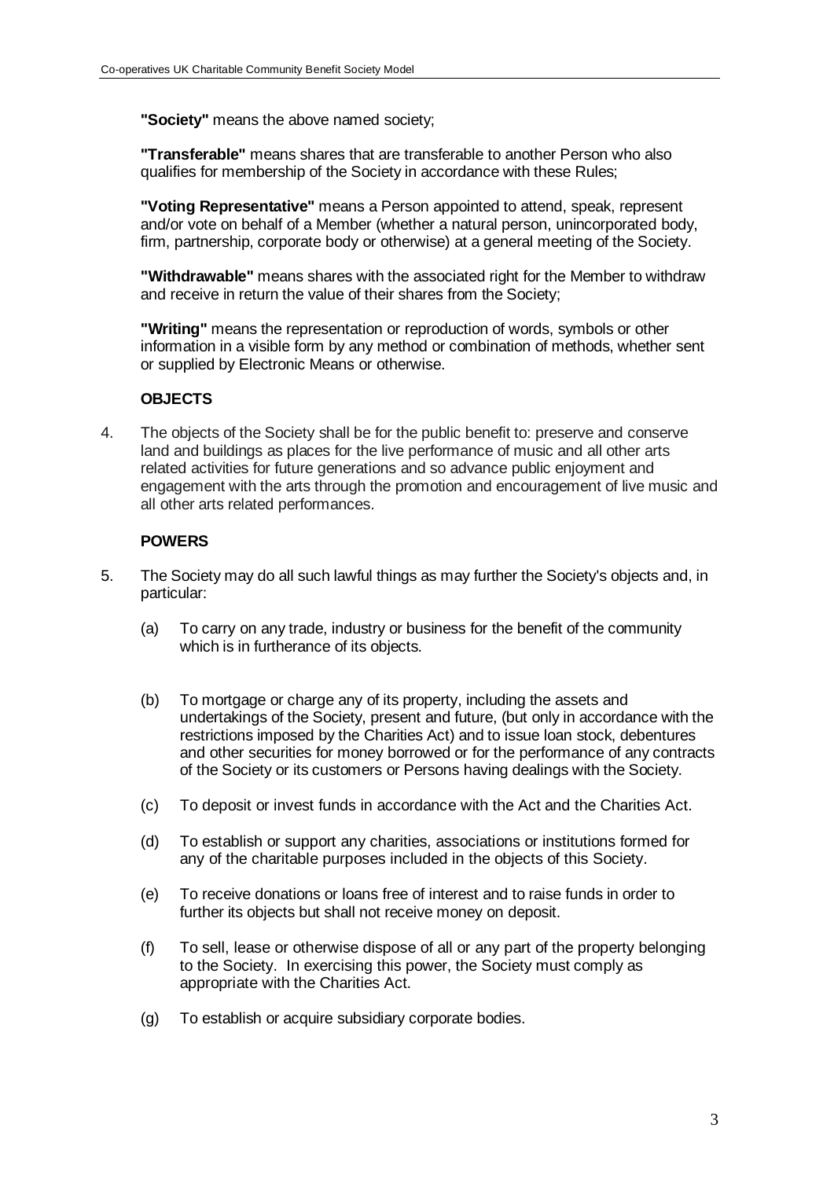**"Society"** means the above named society;

**"Transferable"** means shares that are transferable to another Person who also qualifies for membership of the Society in accordance with these Rules;

**"Voting Representative"** means a Person appointed to attend, speak, represent and/or vote on behalf of a Member (whether a natural person, unincorporated body, firm, partnership, corporate body or otherwise) at a general meeting of the Society.

**"Withdrawable"** means shares with the associated right for the Member to withdraw and receive in return the value of their shares from the Society;

**"Writing"** means the representation or reproduction of words, symbols or other information in a visible form by any method or combination of methods, whether sent or supplied by Electronic Means or otherwise.

# **OBJECTS**

4. The objects of the Society shall be for the public benefit to: preserve and conserve land and buildings as places for the live performance of music and all other arts related activities for future generations and so advance public enjoyment and engagement with the arts through the promotion and encouragement of live music and all other arts related performances.

# **POWERS**

- 5. The Society may do all such lawful things as may further the Society's objects and, in particular:
	- (a) To carry on any trade, industry or business for the benefit of the community which is in furtherance of its objects.
	- (b) To mortgage or charge any of its property, including the assets and undertakings of the Society, present and future, (but only in accordance with the restrictions imposed by the Charities Act) and to issue loan stock, debentures and other securities for money borrowed or for the performance of any contracts of the Society or its customers or Persons having dealings with the Society.
	- (c) To deposit or invest funds in accordance with the Act and the Charities Act.
	- (d) To establish or support any charities, associations or institutions formed for any of the charitable purposes included in the objects of this Society.
	- (e) To receive donations or loans free of interest and to raise funds in order to further its objects but shall not receive money on deposit.
	- (f) To sell, lease or otherwise dispose of all or any part of the property belonging to the Society. In exercising this power, the Society must comply as appropriate with the Charities Act.
	- (g) To establish or acquire subsidiary corporate bodies.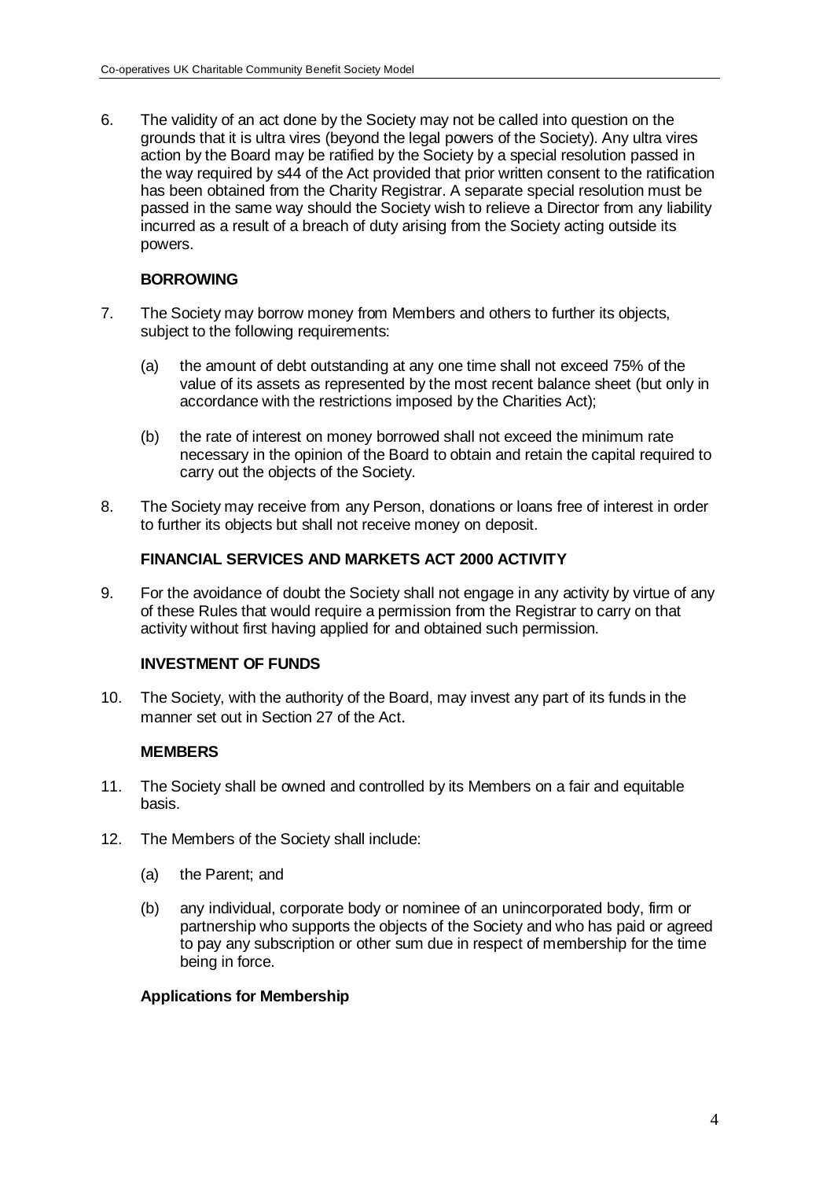6. The validity of an act done by the Society may not be called into question on the grounds that it is ultra vires (beyond the legal powers of the Society). Any ultra vires action by the Board may be ratified by the Society by a special resolution passed in the way required by s44 of the Act provided that prior written consent to the ratification has been obtained from the Charity Registrar. A separate special resolution must be passed in the same way should the Society wish to relieve a Director from any liability incurred as a result of a breach of duty arising from the Society acting outside its powers.

# **BORROWING**

- 7. The Society may borrow money from Members and others to further its objects, subject to the following requirements:
	- (a) the amount of debt outstanding at any one time shall not exceed 75% of the value of its assets as represented by the most recent balance sheet (but only in accordance with the restrictions imposed by the Charities Act);
	- (b) the rate of interest on money borrowed shall not exceed the minimum rate necessary in the opinion of the Board to obtain and retain the capital required to carry out the objects of the Society.
- 8. The Society may receive from any Person, donations or loans free of interest in order to further its objects but shall not receive money on deposit.

# **FINANCIAL SERVICES AND MARKETS ACT 2000 ACTIVITY**

9. For the avoidance of doubt the Society shall not engage in any activity by virtue of any of these Rules that would require a permission from the Registrar to carry on that activity without first having applied for and obtained such permission.

# **INVESTMENT OF FUNDS**

10. The Society, with the authority of the Board, may invest any part of its funds in the manner set out in Section 27 of the Act.

# **MEMBERS**

- 11. The Society shall be owned and controlled by its Members on a fair and equitable basis.
- 12. The Members of the Society shall include:
	- (a) the Parent; and
	- (b) any individual, corporate body or nominee of an unincorporated body, firm or partnership who supports the objects of the Society and who has paid or agreed to pay any subscription or other sum due in respect of membership for the time being in force.

#### **Applications for Membership**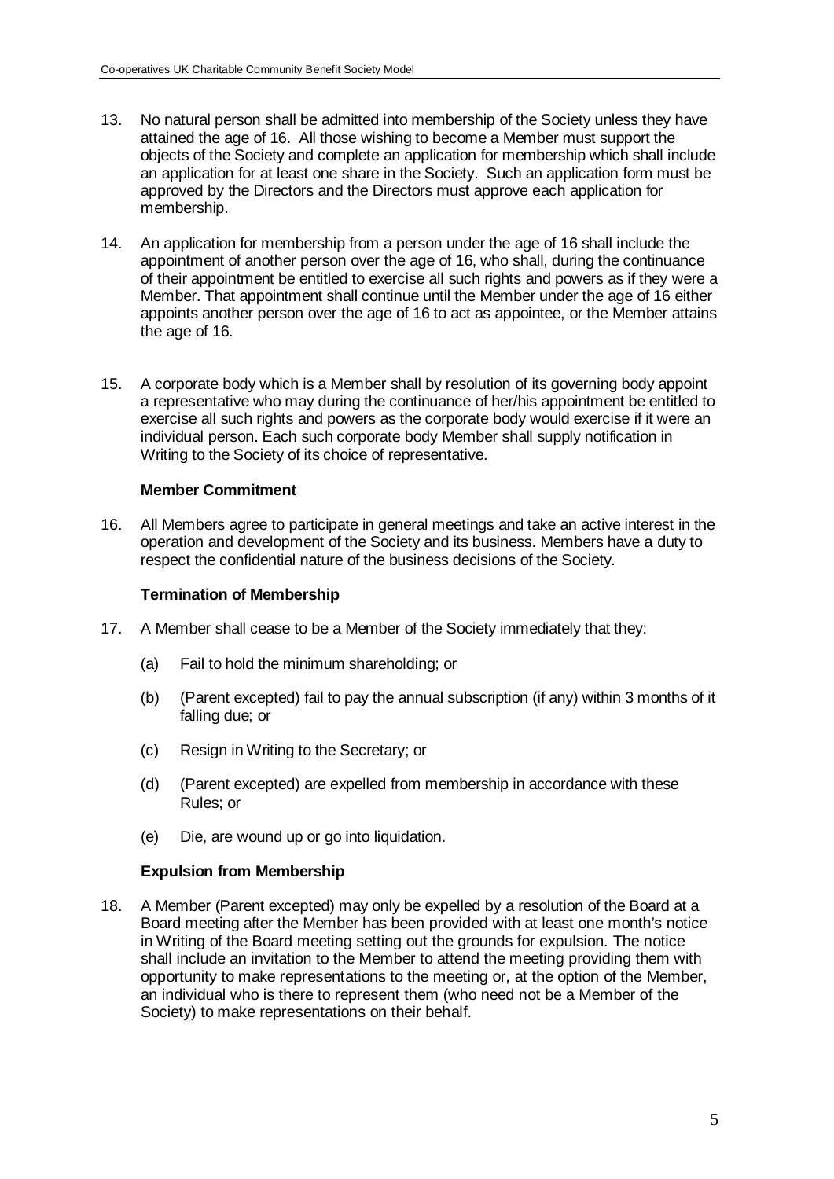- 13. No natural person shall be admitted into membership of the Society unless they have attained the age of 16. All those wishing to become a Member must support the objects of the Society and complete an application for membership which shall include an application for at least one share in the Society. Such an application form must be approved by the Directors and the Directors must approve each application for membership.
- 14. An application for membership from a person under the age of 16 shall include the appointment of another person over the age of 16, who shall, during the continuance of their appointment be entitled to exercise all such rights and powers as if they were a Member. That appointment shall continue until the Member under the age of 16 either appoints another person over the age of 16 to act as appointee, or the Member attains the age of 16.
- 15. A corporate body which is a Member shall by resolution of its governing body appoint a representative who may during the continuance of her/his appointment be entitled to exercise all such rights and powers as the corporate body would exercise if it were an individual person. Each such corporate body Member shall supply notification in Writing to the Society of its choice of representative.

# **Member Commitment**

16. All Members agree to participate in general meetings and take an active interest in the operation and development of the Society and its business. Members have a duty to respect the confidential nature of the business decisions of the Society.

# **Termination of Membership**

- 17. A Member shall cease to be a Member of the Society immediately that they:
	- (a) Fail to hold the minimum shareholding; or
	- (b) (Parent excepted) fail to pay the annual subscription (if any) within 3 months of it falling due; or
	- (c) Resign in Writing to the Secretary; or
	- (d) (Parent excepted) are expelled from membership in accordance with these Rules; or
	- (e) Die, are wound up or go into liquidation.

# **Expulsion from Membership**

18. A Member (Parent excepted) may only be expelled by a resolution of the Board at a Board meeting after the Member has been provided with at least one month's notice in Writing of the Board meeting setting out the grounds for expulsion. The notice shall include an invitation to the Member to attend the meeting providing them with opportunity to make representations to the meeting or, at the option of the Member, an individual who is there to represent them (who need not be a Member of the Society) to make representations on their behalf.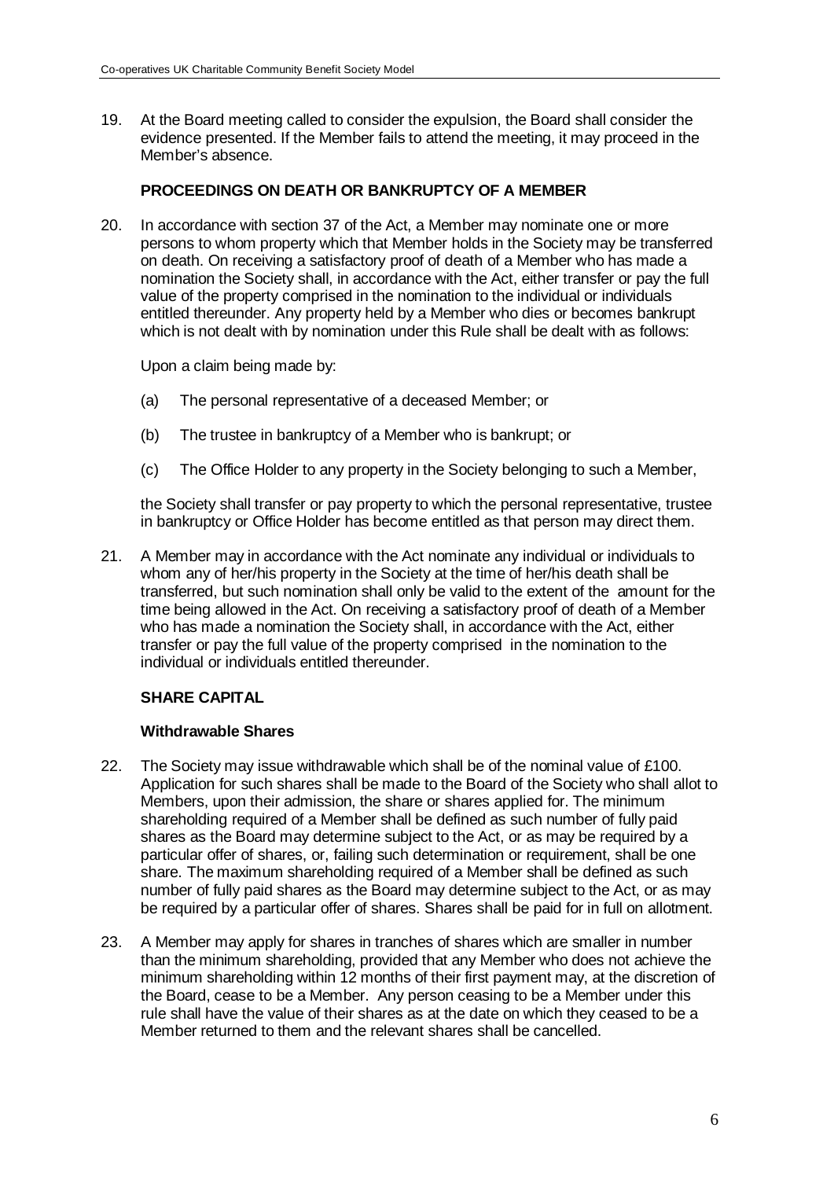19. At the Board meeting called to consider the expulsion, the Board shall consider the evidence presented. If the Member fails to attend the meeting, it may proceed in the Member's absence.

# **PROCEEDINGS ON DEATH OR BANKRUPTCY OF A MEMBER**

20. In accordance with section 37 of the Act, a Member may nominate one or more persons to whom property which that Member holds in the Society may be transferred on death. On receiving a satisfactory proof of death of a Member who has made a nomination the Society shall, in accordance with the Act, either transfer or pay the full value of the property comprised in the nomination to the individual or individuals entitled thereunder. Any property held by a Member who dies or becomes bankrupt which is not dealt with by nomination under this Rule shall be dealt with as follows:

Upon a claim being made by:

- (a) The personal representative of a deceased Member; or
- (b) The trustee in bankruptcy of a Member who is bankrupt; or
- (c) The Office Holder to any property in the Society belonging to such a Member,

the Society shall transfer or pay property to which the personal representative, trustee in bankruptcy or Office Holder has become entitled as that person may direct them.

21. A Member may in accordance with the Act nominate any individual or individuals to whom any of her/his property in the Society at the time of her/his death shall be transferred, but such nomination shall only be valid to the extent of the amount for the time being allowed in the Act. On receiving a satisfactory proof of death of a Member who has made a nomination the Society shall, in accordance with the Act, either transfer or pay the full value of the property comprised in the nomination to the individual or individuals entitled thereunder.

# **SHARE CAPITAL**

#### **Withdrawable Shares**

- 22. The Society may issue withdrawable which shall be of the nominal value of £100. Application for such shares shall be made to the Board of the Society who shall allot to Members, upon their admission, the share or shares applied for. The minimum shareholding required of a Member shall be defined as such number of fully paid shares as the Board may determine subject to the Act, or as may be required by a particular offer of shares, or, failing such determination or requirement, shall be one share. The maximum shareholding required of a Member shall be defined as such number of fully paid shares as the Board may determine subject to the Act, or as may be required by a particular offer of shares. Shares shall be paid for in full on allotment.
- 23. A Member may apply for shares in tranches of shares which are smaller in number than the minimum shareholding, provided that any Member who does not achieve the minimum shareholding within 12 months of their first payment may, at the discretion of the Board, cease to be a Member. Any person ceasing to be a Member under this rule shall have the value of their shares as at the date on which they ceased to be a Member returned to them and the relevant shares shall be cancelled.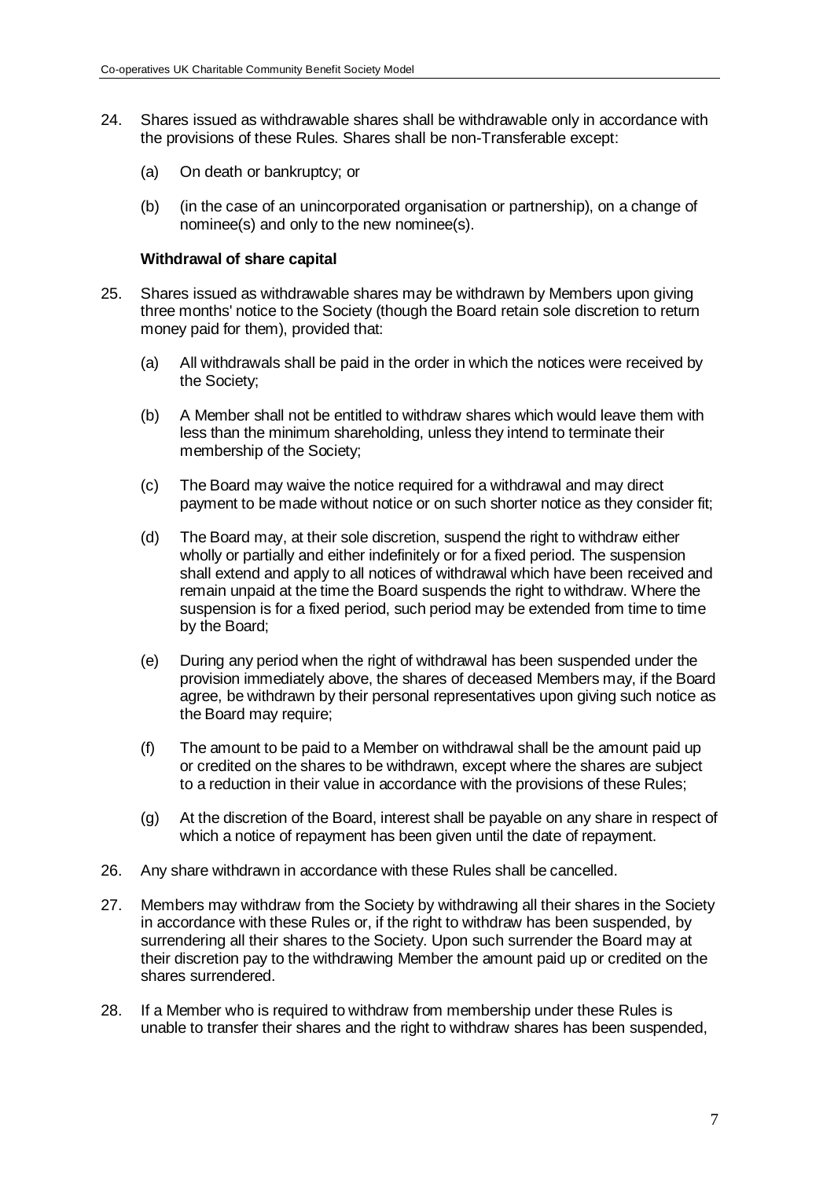- 24. Shares issued as withdrawable shares shall be withdrawable only in accordance with the provisions of these Rules. Shares shall be non-Transferable except:
	- (a) On death or bankruptcy; or
	- (b) (in the case of an unincorporated organisation or partnership), on a change of nominee(s) and only to the new nominee(s).

#### **Withdrawal of share capital**

- 25. Shares issued as withdrawable shares may be withdrawn by Members upon giving three months' notice to the Society (though the Board retain sole discretion to return money paid for them), provided that:
	- (a) All withdrawals shall be paid in the order in which the notices were received by the Society;
	- (b) A Member shall not be entitled to withdraw shares which would leave them with less than the minimum shareholding, unless they intend to terminate their membership of the Society;
	- (c) The Board may waive the notice required for a withdrawal and may direct payment to be made without notice or on such shorter notice as they consider fit;
	- (d) The Board may, at their sole discretion, suspend the right to withdraw either wholly or partially and either indefinitely or for a fixed period. The suspension shall extend and apply to all notices of withdrawal which have been received and remain unpaid at the time the Board suspends the right to withdraw. Where the suspension is for a fixed period, such period may be extended from time to time by the Board;
	- (e) During any period when the right of withdrawal has been suspended under the provision immediately above, the shares of deceased Members may, if the Board agree, be withdrawn by their personal representatives upon giving such notice as the Board may require;
	- (f) The amount to be paid to a Member on withdrawal shall be the amount paid up or credited on the shares to be withdrawn, except where the shares are subject to a reduction in their value in accordance with the provisions of these Rules;
	- (g) At the discretion of the Board, interest shall be payable on any share in respect of which a notice of repayment has been given until the date of repayment.
- 26. Any share withdrawn in accordance with these Rules shall be cancelled.
- 27. Members may withdraw from the Society by withdrawing all their shares in the Society in accordance with these Rules or, if the right to withdraw has been suspended, by surrendering all their shares to the Society. Upon such surrender the Board may at their discretion pay to the withdrawing Member the amount paid up or credited on the shares surrendered.
- 28. If a Member who is required to withdraw from membership under these Rules is unable to transfer their shares and the right to withdraw shares has been suspended,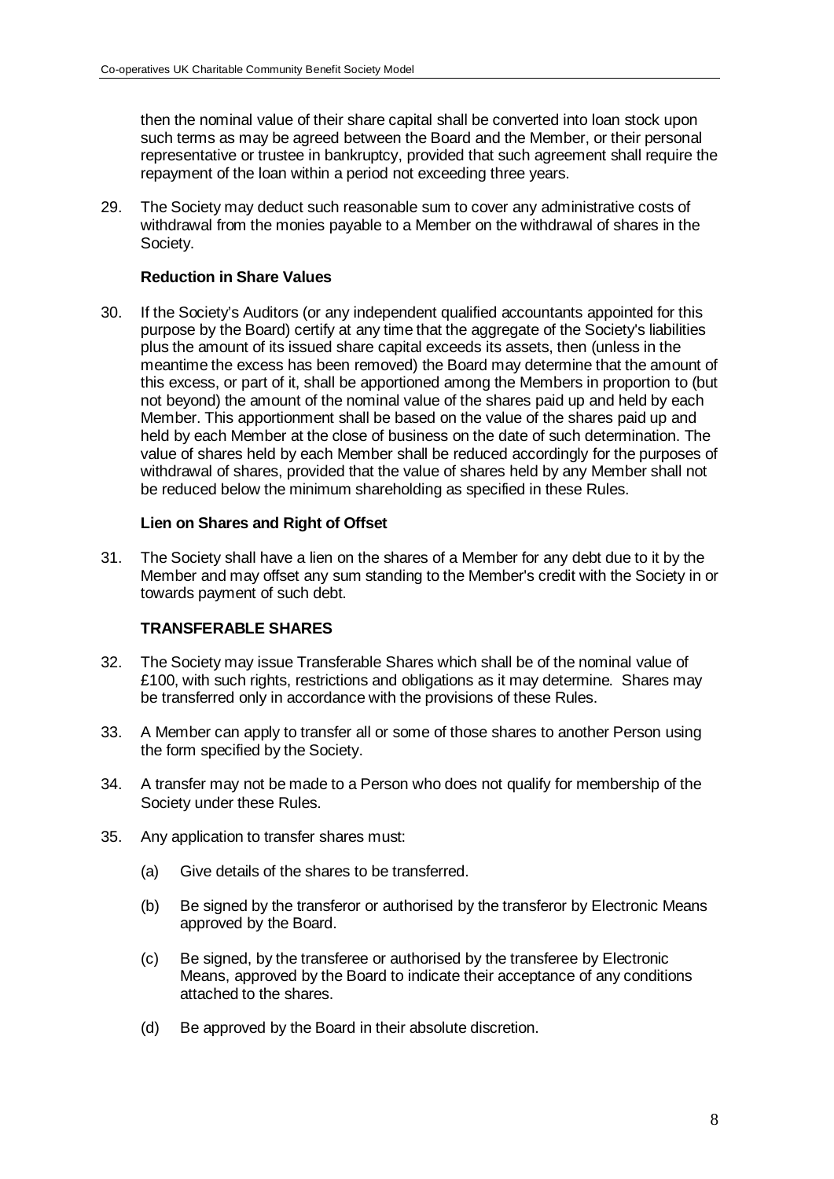then the nominal value of their share capital shall be converted into loan stock upon such terms as may be agreed between the Board and the Member, or their personal representative or trustee in bankruptcy, provided that such agreement shall require the repayment of the loan within a period not exceeding three years.

29. The Society may deduct such reasonable sum to cover any administrative costs of withdrawal from the monies payable to a Member on the withdrawal of shares in the Society.

### **Reduction in Share Values**

30. If the Society's Auditors (or any independent qualified accountants appointed for this purpose by the Board) certify at any time that the aggregate of the Society's liabilities plus the amount of its issued share capital exceeds its assets, then (unless in the meantime the excess has been removed) the Board may determine that the amount of this excess, or part of it, shall be apportioned among the Members in proportion to (but not beyond) the amount of the nominal value of the shares paid up and held by each Member. This apportionment shall be based on the value of the shares paid up and held by each Member at the close of business on the date of such determination. The value of shares held by each Member shall be reduced accordingly for the purposes of withdrawal of shares, provided that the value of shares held by any Member shall not be reduced below the minimum shareholding as specified in these Rules.

#### **Lien on Shares and Right of Offset**

31. The Society shall have a lien on the shares of a Member for any debt due to it by the Member and may offset any sum standing to the Member's credit with the Society in or towards payment of such debt.

# **TRANSFERABLE SHARES**

- 32. The Society may issue Transferable Shares which shall be of the nominal value of £100, with such rights, restrictions and obligations as it may determine. Shares may be transferred only in accordance with the provisions of these Rules.
- 33. A Member can apply to transfer all or some of those shares to another Person using the form specified by the Society.
- 34. A transfer may not be made to a Person who does not qualify for membership of the Society under these Rules.
- 35. Any application to transfer shares must:
	- (a) Give details of the shares to be transferred.
	- (b) Be signed by the transferor or authorised by the transferor by Electronic Means approved by the Board.
	- (c) Be signed, by the transferee or authorised by the transferee by Electronic Means, approved by the Board to indicate their acceptance of any conditions attached to the shares.
	- (d) Be approved by the Board in their absolute discretion.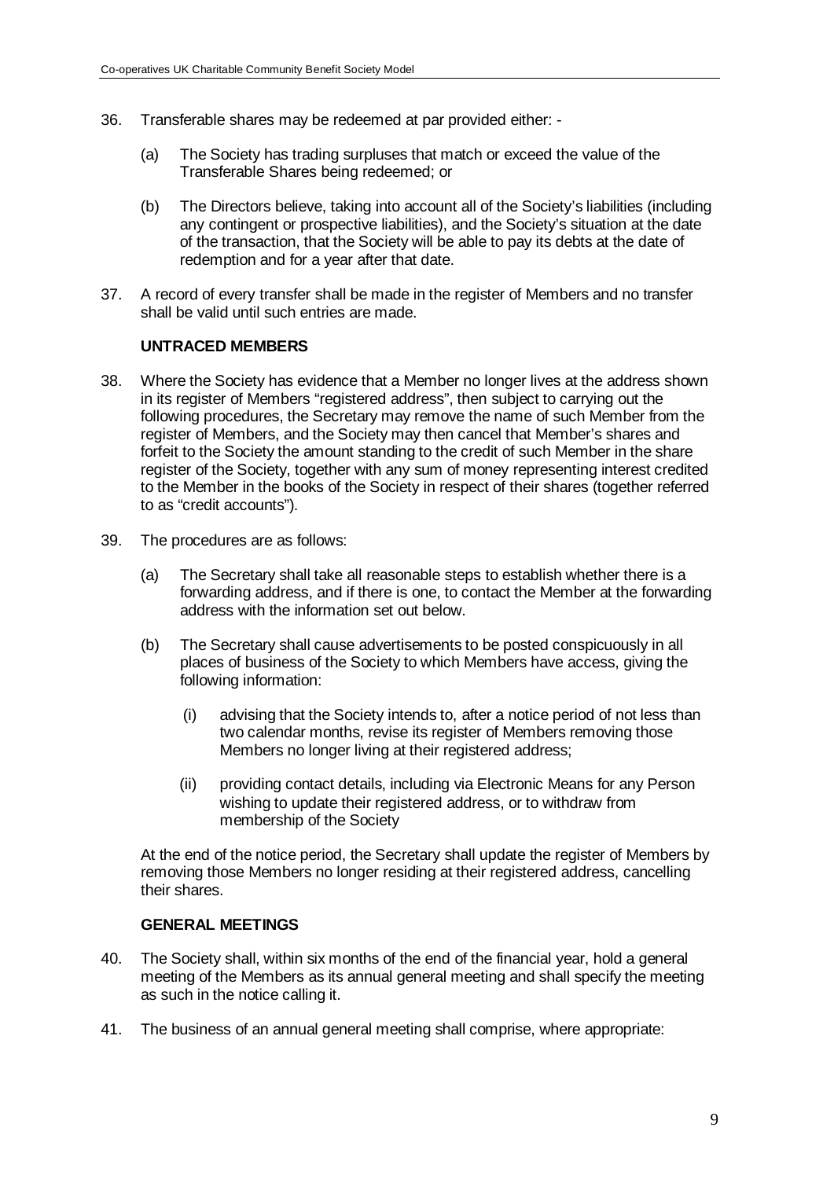- 36. Transferable shares may be redeemed at par provided either:
	- (a) The Society has trading surpluses that match or exceed the value of the Transferable Shares being redeemed; or
	- (b) The Directors believe, taking into account all of the Society's liabilities (including any contingent or prospective liabilities), and the Society's situation at the date of the transaction, that the Society will be able to pay its debts at the date of redemption and for a year after that date.
- 37. A record of every transfer shall be made in the register of Members and no transfer shall be valid until such entries are made.

#### **UNTRACED MEMBERS**

- 38. Where the Society has evidence that a Member no longer lives at the address shown in its register of Members "registered address", then subject to carrying out the following procedures, the Secretary may remove the name of such Member from the register of Members, and the Society may then cancel that Member's shares and forfeit to the Society the amount standing to the credit of such Member in the share register of the Society, together with any sum of money representing interest credited to the Member in the books of the Society in respect of their shares (together referred to as "credit accounts").
- 39. The procedures are as follows:
	- (a) The Secretary shall take all reasonable steps to establish whether there is a forwarding address, and if there is one, to contact the Member at the forwarding address with the information set out below.
	- (b) The Secretary shall cause advertisements to be posted conspicuously in all places of business of the Society to which Members have access, giving the following information:
		- (i) advising that the Society intends to, after a notice period of not less than two calendar months, revise its register of Members removing those Members no longer living at their registered address;
		- (ii) providing contact details, including via Electronic Means for any Person wishing to update their registered address, or to withdraw from membership of the Society

At the end of the notice period, the Secretary shall update the register of Members by removing those Members no longer residing at their registered address, cancelling their shares.

# **GENERAL MEETINGS**

- 40. The Society shall, within six months of the end of the financial year, hold a general meeting of the Members as its annual general meeting and shall specify the meeting as such in the notice calling it.
- 41. The business of an annual general meeting shall comprise, where appropriate: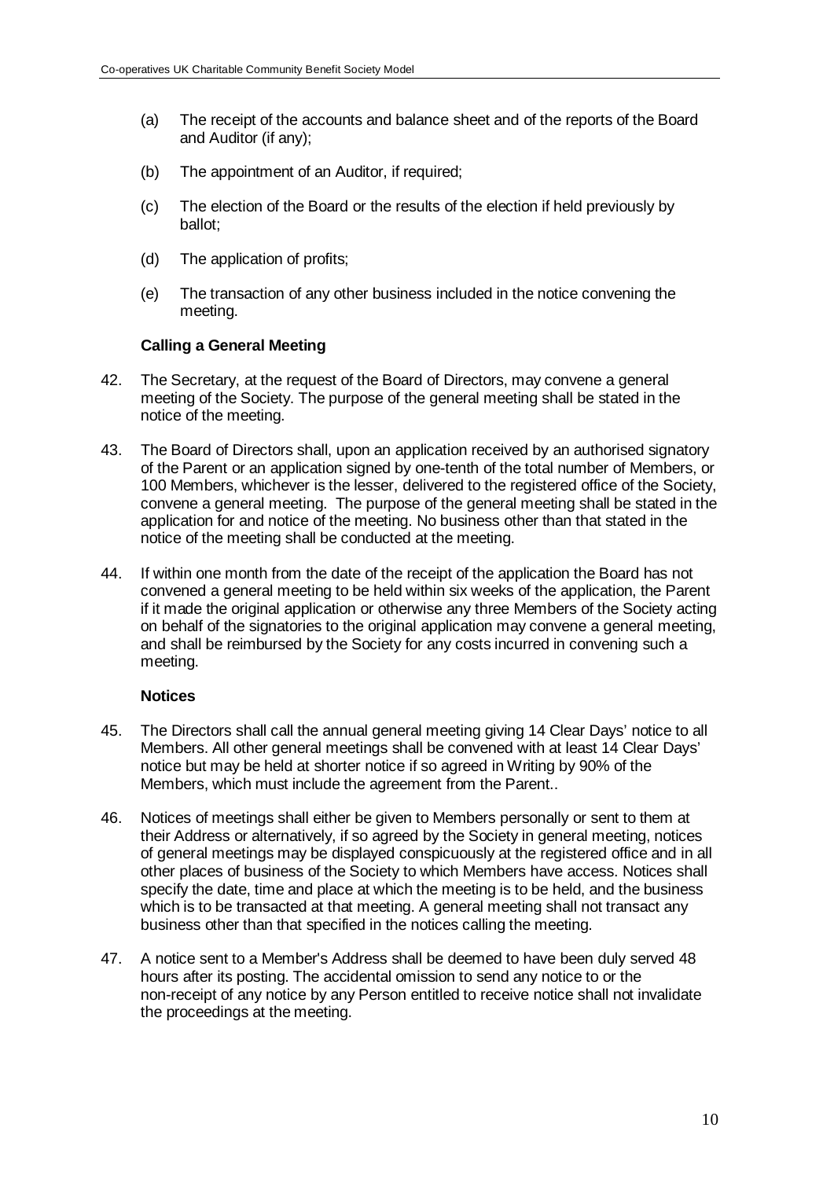- (a) The receipt of the accounts and balance sheet and of the reports of the Board and Auditor (if any);
- (b) The appointment of an Auditor, if required;
- (c) The election of the Board or the results of the election if held previously by ballot;
- (d) The application of profits;
- (e) The transaction of any other business included in the notice convening the meeting.

#### **Calling a General Meeting**

- 42. The Secretary, at the request of the Board of Directors, may convene a general meeting of the Society. The purpose of the general meeting shall be stated in the notice of the meeting.
- 43. The Board of Directors shall, upon an application received by an authorised signatory of the Parent or an application signed by one-tenth of the total number of Members, or 100 Members, whichever is the lesser, delivered to the registered office of the Society, convene a general meeting. The purpose of the general meeting shall be stated in the application for and notice of the meeting. No business other than that stated in the notice of the meeting shall be conducted at the meeting.
- 44. If within one month from the date of the receipt of the application the Board has not convened a general meeting to be held within six weeks of the application, the Parent if it made the original application or otherwise any three Members of the Society acting on behalf of the signatories to the original application may convene a general meeting, and shall be reimbursed by the Society for any costs incurred in convening such a meeting.

#### **Notices**

- 45. The Directors shall call the annual general meeting giving 14 Clear Days' notice to all Members. All other general meetings shall be convened with at least 14 Clear Days' notice but may be held at shorter notice if so agreed in Writing by 90% of the Members, which must include the agreement from the Parent..
- 46. Notices of meetings shall either be given to Members personally or sent to them at their Address or alternatively, if so agreed by the Society in general meeting, notices of general meetings may be displayed conspicuously at the registered office and in all other places of business of the Society to which Members have access. Notices shall specify the date, time and place at which the meeting is to be held, and the business which is to be transacted at that meeting. A general meeting shall not transact any business other than that specified in the notices calling the meeting.
- 47. A notice sent to a Member's Address shall be deemed to have been duly served 48 hours after its posting. The accidental omission to send any notice to or the non-receipt of any notice by any Person entitled to receive notice shall not invalidate the proceedings at the meeting.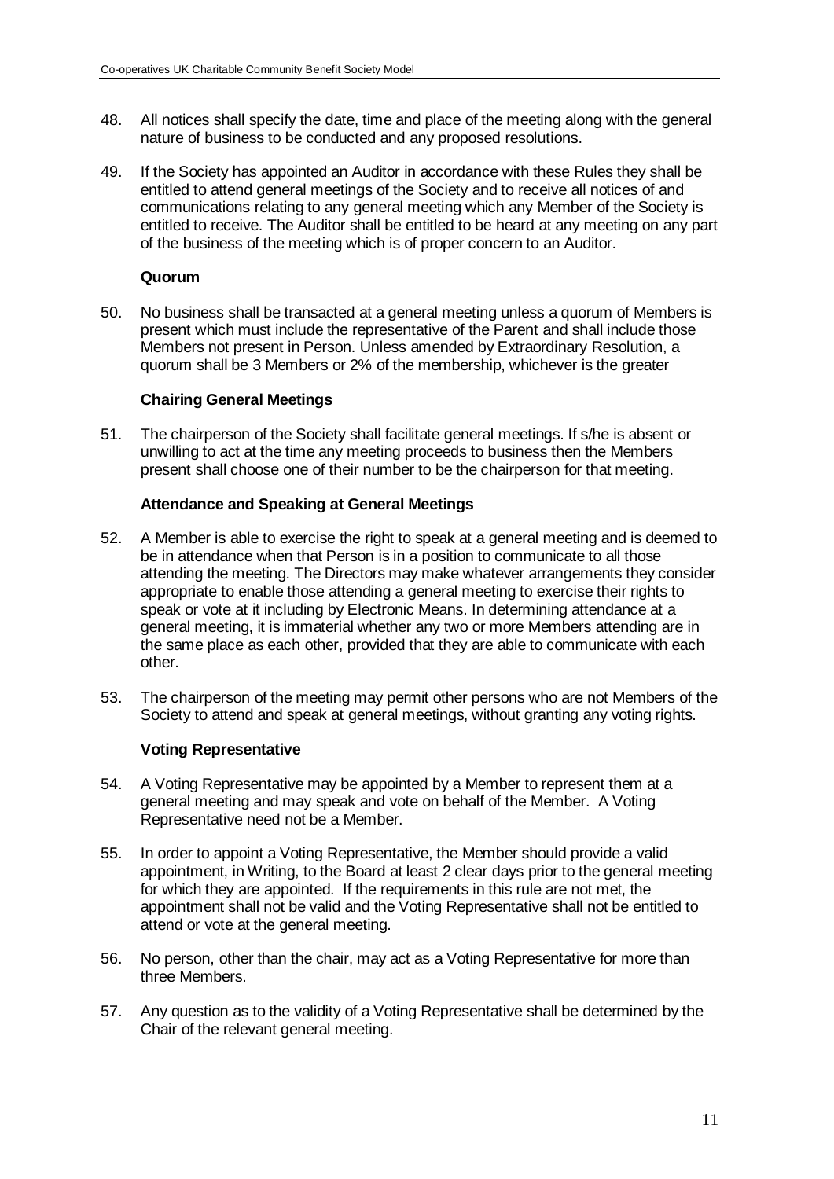- 48. All notices shall specify the date, time and place of the meeting along with the general nature of business to be conducted and any proposed resolutions.
- 49. If the Society has appointed an Auditor in accordance with these Rules they shall be entitled to attend general meetings of the Society and to receive all notices of and communications relating to any general meeting which any Member of the Society is entitled to receive. The Auditor shall be entitled to be heard at any meeting on any part of the business of the meeting which is of proper concern to an Auditor.

#### **Quorum**

50. No business shall be transacted at a general meeting unless a quorum of Members is present which must include the representative of the Parent and shall include those Members not present in Person. Unless amended by Extraordinary Resolution, a quorum shall be 3 Members or 2% of the membership, whichever is the greater

# **Chairing General Meetings**

51. The chairperson of the Society shall facilitate general meetings. If s/he is absent or unwilling to act at the time any meeting proceeds to business then the Members present shall choose one of their number to be the chairperson for that meeting.

# **Attendance and Speaking at General Meetings**

- 52. A Member is able to exercise the right to speak at a general meeting and is deemed to be in attendance when that Person is in a position to communicate to all those attending the meeting. The Directors may make whatever arrangements they consider appropriate to enable those attending a general meeting to exercise their rights to speak or vote at it including by Electronic Means. In determining attendance at a general meeting, it is immaterial whether any two or more Members attending are in the same place as each other, provided that they are able to communicate with each other.
- 53. The chairperson of the meeting may permit other persons who are not Members of the Society to attend and speak at general meetings, without granting any voting rights.

# **Voting Representative**

- 54. A Voting Representative may be appointed by a Member to represent them at a general meeting and may speak and vote on behalf of the Member. A Voting Representative need not be a Member.
- 55. In order to appoint a Voting Representative, the Member should provide a valid appointment, in Writing, to the Board at least 2 clear days prior to the general meeting for which they are appointed. If the requirements in this rule are not met, the appointment shall not be valid and the Voting Representative shall not be entitled to attend or vote at the general meeting.
- 56. No person, other than the chair, may act as a Voting Representative for more than three Members.
- 57. Any question as to the validity of a Voting Representative shall be determined by the Chair of the relevant general meeting.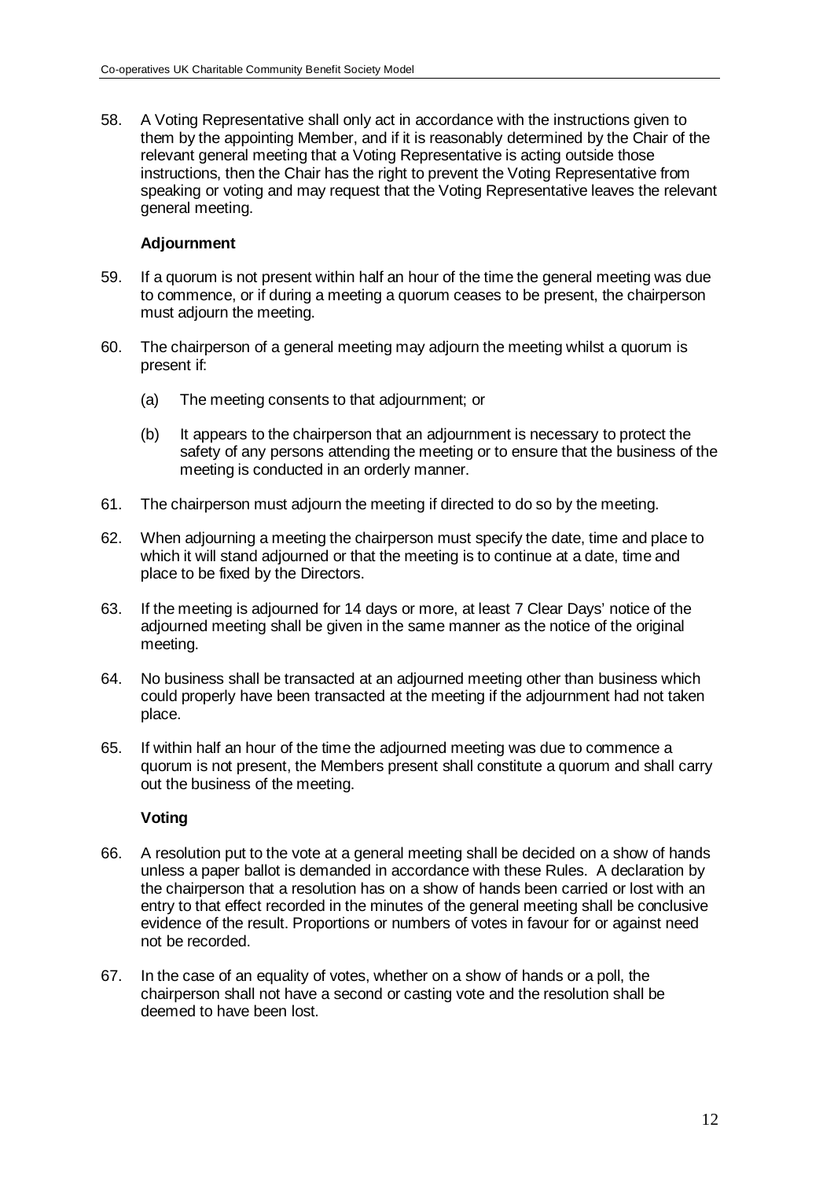58. A Voting Representative shall only act in accordance with the instructions given to them by the appointing Member, and if it is reasonably determined by the Chair of the relevant general meeting that a Voting Representative is acting outside those instructions, then the Chair has the right to prevent the Voting Representative from speaking or voting and may request that the Voting Representative leaves the relevant general meeting.

### **Adjournment**

- 59. If a quorum is not present within half an hour of the time the general meeting was due to commence, or if during a meeting a quorum ceases to be present, the chairperson must adjourn the meeting.
- 60. The chairperson of a general meeting may adjourn the meeting whilst a quorum is present if:
	- (a) The meeting consents to that adjournment; or
	- (b) It appears to the chairperson that an adjournment is necessary to protect the safety of any persons attending the meeting or to ensure that the business of the meeting is conducted in an orderly manner.
- 61. The chairperson must adjourn the meeting if directed to do so by the meeting.
- 62. When adjourning a meeting the chairperson must specify the date, time and place to which it will stand adjourned or that the meeting is to continue at a date, time and place to be fixed by the Directors.
- 63. If the meeting is adjourned for 14 days or more, at least 7 Clear Days' notice of the adjourned meeting shall be given in the same manner as the notice of the original meeting.
- 64. No business shall be transacted at an adjourned meeting other than business which could properly have been transacted at the meeting if the adjournment had not taken place.
- 65. If within half an hour of the time the adjourned meeting was due to commence a quorum is not present, the Members present shall constitute a quorum and shall carry out the business of the meeting.

# **Voting**

- 66. A resolution put to the vote at a general meeting shall be decided on a show of hands unless a paper ballot is demanded in accordance with these Rules. A declaration by the chairperson that a resolution has on a show of hands been carried or lost with an entry to that effect recorded in the minutes of the general meeting shall be conclusive evidence of the result. Proportions or numbers of votes in favour for or against need not be recorded.
- 67. In the case of an equality of votes, whether on a show of hands or a poll, the chairperson shall not have a second or casting vote and the resolution shall be deemed to have been lost.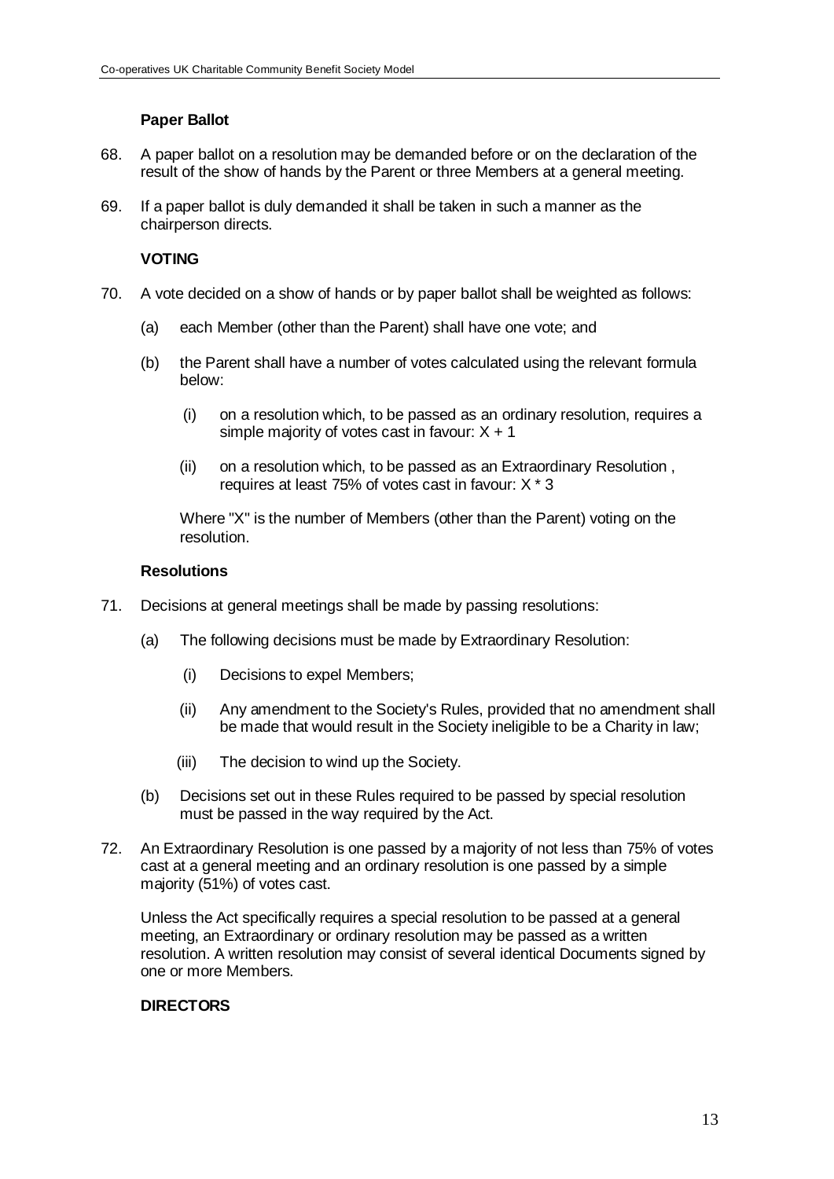# **Paper Ballot**

- 68. A paper ballot on a resolution may be demanded before or on the declaration of the result of the show of hands by the Parent or three Members at a general meeting.
- 69. If a paper ballot is duly demanded it shall be taken in such a manner as the chairperson directs.

### **VOTING**

- 70. A vote decided on a show of hands or by paper ballot shall be weighted as follows:
	- (a) each Member (other than the Parent) shall have one vote; and
	- (b) the Parent shall have a number of votes calculated using the relevant formula below:
		- (i) on a resolution which, to be passed as an ordinary resolution, requires a simple majority of votes cast in favour:  $X + 1$
		- (ii) on a resolution which, to be passed as an Extraordinary Resolution , requires at least 75% of votes cast in favour: X \* 3

Where "X" is the number of Members (other than the Parent) voting on the resolution.

#### **Resolutions**

- 71. Decisions at general meetings shall be made by passing resolutions:
	- (a) The following decisions must be made by Extraordinary Resolution:
		- (i) Decisions to expel Members;
		- (ii) Any amendment to the Society's Rules, provided that no amendment shall be made that would result in the Society ineligible to be a Charity in law;
		- (iii) The decision to wind up the Society.
	- (b) Decisions set out in these Rules required to be passed by special resolution must be passed in the way required by the Act.
- 72. An Extraordinary Resolution is one passed by a majority of not less than 75% of votes cast at a general meeting and an ordinary resolution is one passed by a simple majority (51%) of votes cast.

Unless the Act specifically requires a special resolution to be passed at a general meeting, an Extraordinary or ordinary resolution may be passed as a written resolution. A written resolution may consist of several identical Documents signed by one or more Members.

# **DIRECTORS**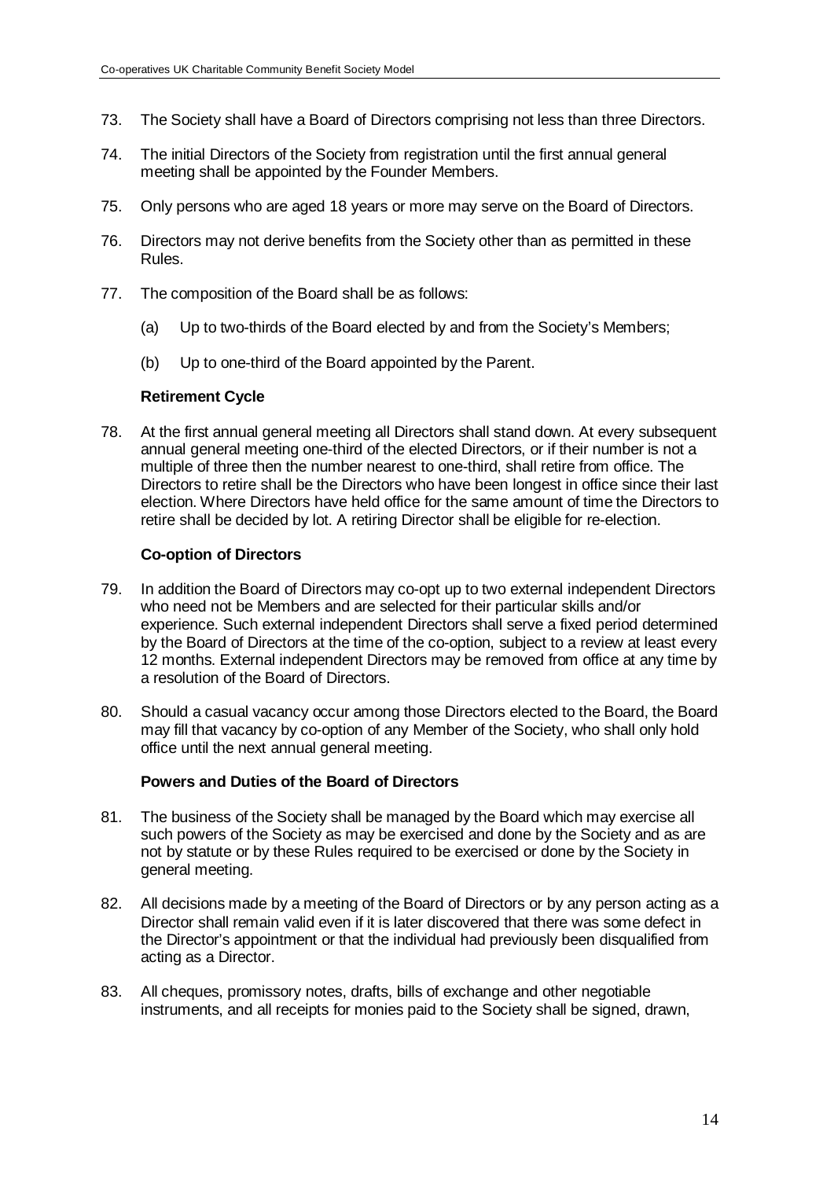- 73. The Society shall have a Board of Directors comprising not less than three Directors.
- 74. The initial Directors of the Society from registration until the first annual general meeting shall be appointed by the Founder Members.
- 75. Only persons who are aged 18 years or more may serve on the Board of Directors.
- 76. Directors may not derive benefits from the Society other than as permitted in these Rules.
- 77. The composition of the Board shall be as follows:
	- (a) Up to two-thirds of the Board elected by and from the Society's Members;
	- (b) Up to one-third of the Board appointed by the Parent.

#### **Retirement Cycle**

78. At the first annual general meeting all Directors shall stand down. At every subsequent annual general meeting one-third of the elected Directors, or if their number is not a multiple of three then the number nearest to one-third, shall retire from office. The Directors to retire shall be the Directors who have been longest in office since their last election. Where Directors have held office for the same amount of time the Directors to retire shall be decided by lot. A retiring Director shall be eligible for re-election.

#### **Co-option of Directors**

- 79. In addition the Board of Directors may co-opt up to two external independent Directors who need not be Members and are selected for their particular skills and/or experience. Such external independent Directors shall serve a fixed period determined by the Board of Directors at the time of the co-option, subject to a review at least every 12 months. External independent Directors may be removed from office at any time by a resolution of the Board of Directors.
- 80. Should a casual vacancy occur among those Directors elected to the Board, the Board may fill that vacancy by co-option of any Member of the Society, who shall only hold office until the next annual general meeting.

# **Powers and Duties of the Board of Directors**

- 81. The business of the Society shall be managed by the Board which may exercise all such powers of the Society as may be exercised and done by the Society and as are not by statute or by these Rules required to be exercised or done by the Society in general meeting.
- 82. All decisions made by a meeting of the Board of Directors or by any person acting as a Director shall remain valid even if it is later discovered that there was some defect in the Director's appointment or that the individual had previously been disqualified from acting as a Director.
- 83. All cheques, promissory notes, drafts, bills of exchange and other negotiable instruments, and all receipts for monies paid to the Society shall be signed, drawn,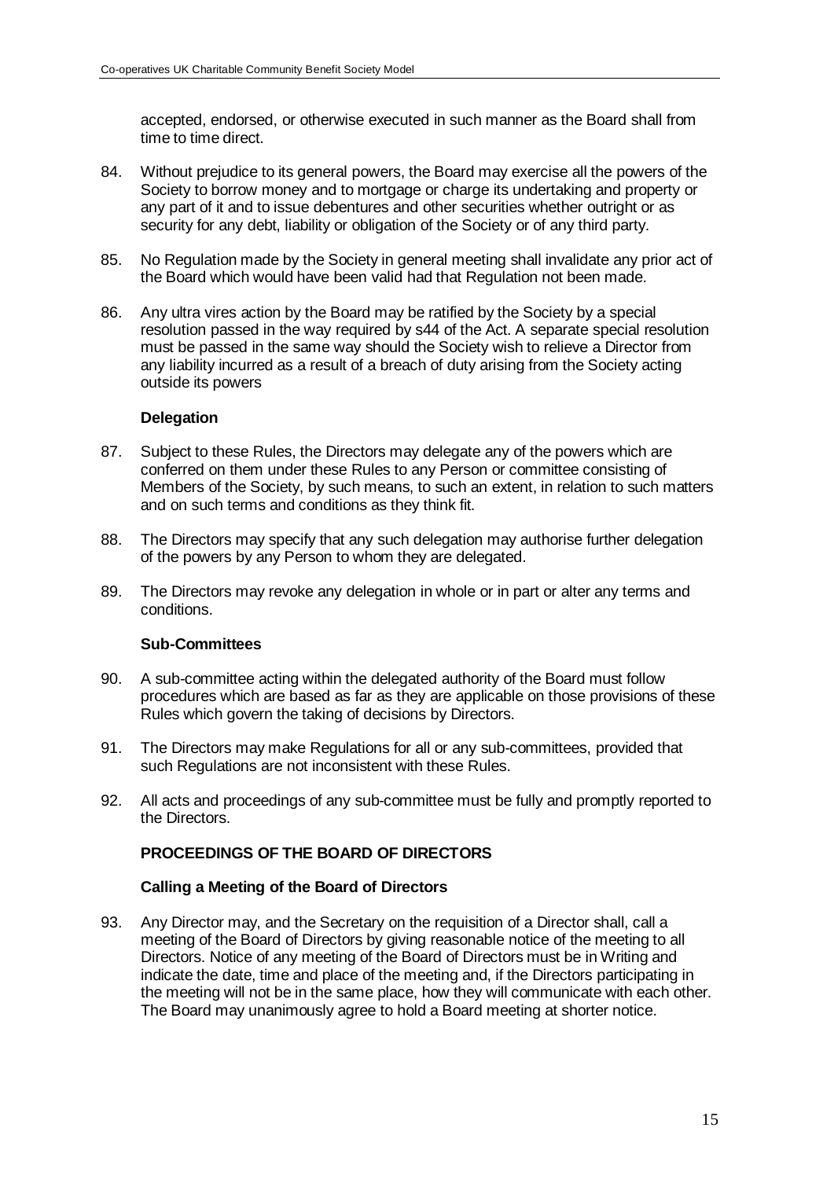accepted, endorsed, or otherwise executed in such manner as the Board shall from time to time direct.

- 84. Without prejudice to its general powers, the Board may exercise all the powers of the Society to borrow money and to mortgage or charge its undertaking and property or any part of it and to issue debentures and other securities whether outright or as security for any debt, liability or obligation of the Society or of any third party.
- 85. No Regulation made by the Society in general meeting shall invalidate any prior act of the Board which would have been valid had that Regulation not been made.
- 86. Any ultra vires action by the Board may be ratified by the Society by a special resolution passed in the way required by s44 of the Act. A separate special resolution must be passed in the same way should the Society wish to relieve a Director from any liability incurred as a result of a breach of duty arising from the Society acting outside its powers

#### **Delegation**

- 87. Subject to these Rules, the Directors may delegate any of the powers which are conferred on them under these Rules to any Person or committee consisting of Members of the Society, by such means, to such an extent, in relation to such matters and on such terms and conditions as they think fit.
- 88. The Directors may specify that any such delegation may authorise further delegation of the powers by any Person to whom they are delegated.
- 89. The Directors may revoke any delegation in whole or in part or alter any terms and conditions.

#### **Sub-Committees**

- 90. A sub-committee acting within the delegated authority of the Board must follow procedures which are based as far as they are applicable on those provisions of these Rules which govern the taking of decisions by Directors.
- 91. The Directors may make Regulations for all or any sub-committees, provided that such Regulations are not inconsistent with these Rules.
- 92. All acts and proceedings of any sub-committee must be fully and promptly reported to the Directors.

# **PROCEEDINGS OF THE BOARD OF DIRECTORS**

#### **Calling a Meeting of the Board of Directors**

93. Any Director may, and the Secretary on the requisition of a Director shall, call a meeting of the Board of Directors by giving reasonable notice of the meeting to all Directors. Notice of any meeting of the Board of Directors must be in Writing and indicate the date, time and place of the meeting and, if the Directors participating in the meeting will not be in the same place, how they will communicate with each other. The Board may unanimously agree to hold a Board meeting at shorter notice.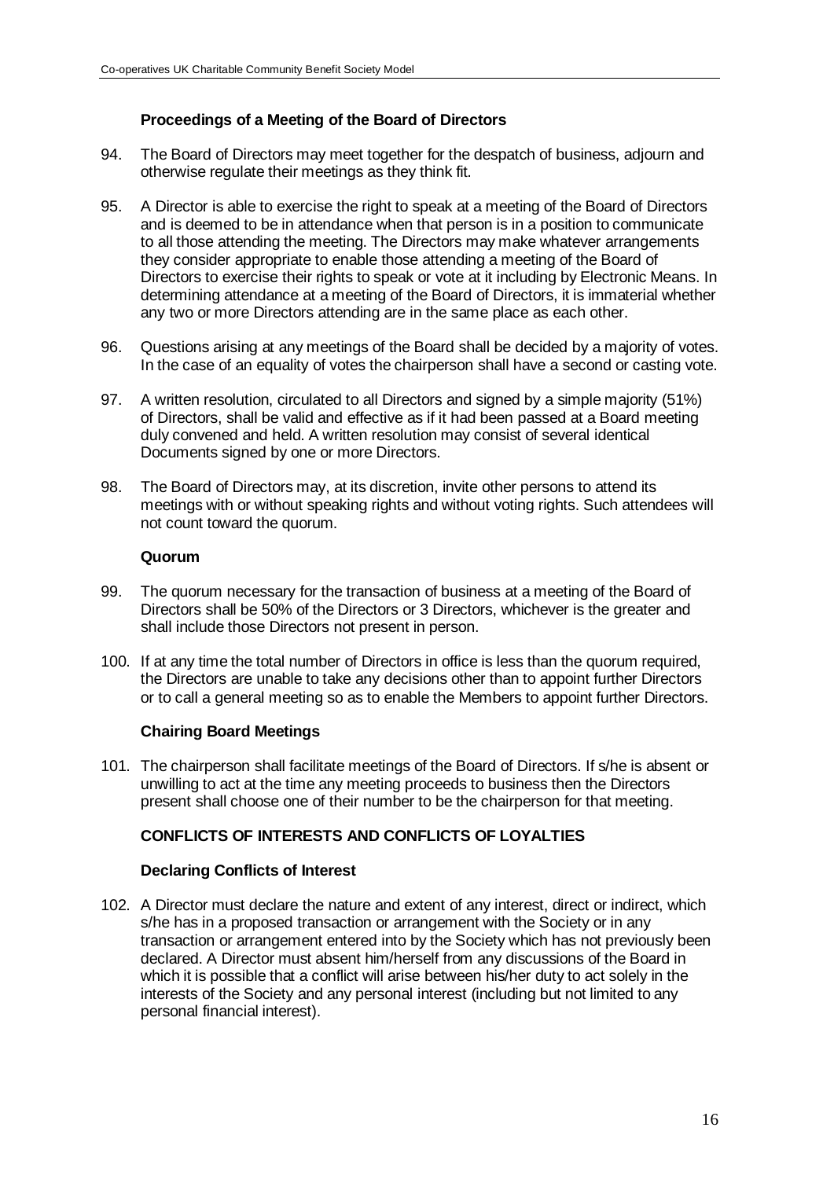# **Proceedings of a Meeting of the Board of Directors**

- 94. The Board of Directors may meet together for the despatch of business, adjourn and otherwise regulate their meetings as they think fit.
- 95. A Director is able to exercise the right to speak at a meeting of the Board of Directors and is deemed to be in attendance when that person is in a position to communicate to all those attending the meeting. The Directors may make whatever arrangements they consider appropriate to enable those attending a meeting of the Board of Directors to exercise their rights to speak or vote at it including by Electronic Means. In determining attendance at a meeting of the Board of Directors, it is immaterial whether any two or more Directors attending are in the same place as each other.
- 96. Questions arising at any meetings of the Board shall be decided by a majority of votes. In the case of an equality of votes the chairperson shall have a second or casting vote.
- 97. A written resolution, circulated to all Directors and signed by a simple majority (51%) of Directors, shall be valid and effective as if it had been passed at a Board meeting duly convened and held. A written resolution may consist of several identical Documents signed by one or more Directors.
- 98. The Board of Directors may, at its discretion, invite other persons to attend its meetings with or without speaking rights and without voting rights. Such attendees will not count toward the quorum.

#### **Quorum**

- 99. The quorum necessary for the transaction of business at a meeting of the Board of Directors shall be 50% of the Directors or 3 Directors, whichever is the greater and shall include those Directors not present in person.
- 100. If at any time the total number of Directors in office is less than the quorum required, the Directors are unable to take any decisions other than to appoint further Directors or to call a general meeting so as to enable the Members to appoint further Directors.

# **Chairing Board Meetings**

101. The chairperson shall facilitate meetings of the Board of Directors. If s/he is absent or unwilling to act at the time any meeting proceeds to business then the Directors present shall choose one of their number to be the chairperson for that meeting.

# **CONFLICTS OF INTERESTS AND CONFLICTS OF LOYALTIES**

# **Declaring Conflicts of Interest**

102. A Director must declare the nature and extent of any interest, direct or indirect, which s/he has in a proposed transaction or arrangement with the Society or in any transaction or arrangement entered into by the Society which has not previously been declared. A Director must absent him/herself from any discussions of the Board in which it is possible that a conflict will arise between his/her duty to act solely in the interests of the Society and any personal interest (including but not limited to any personal financial interest).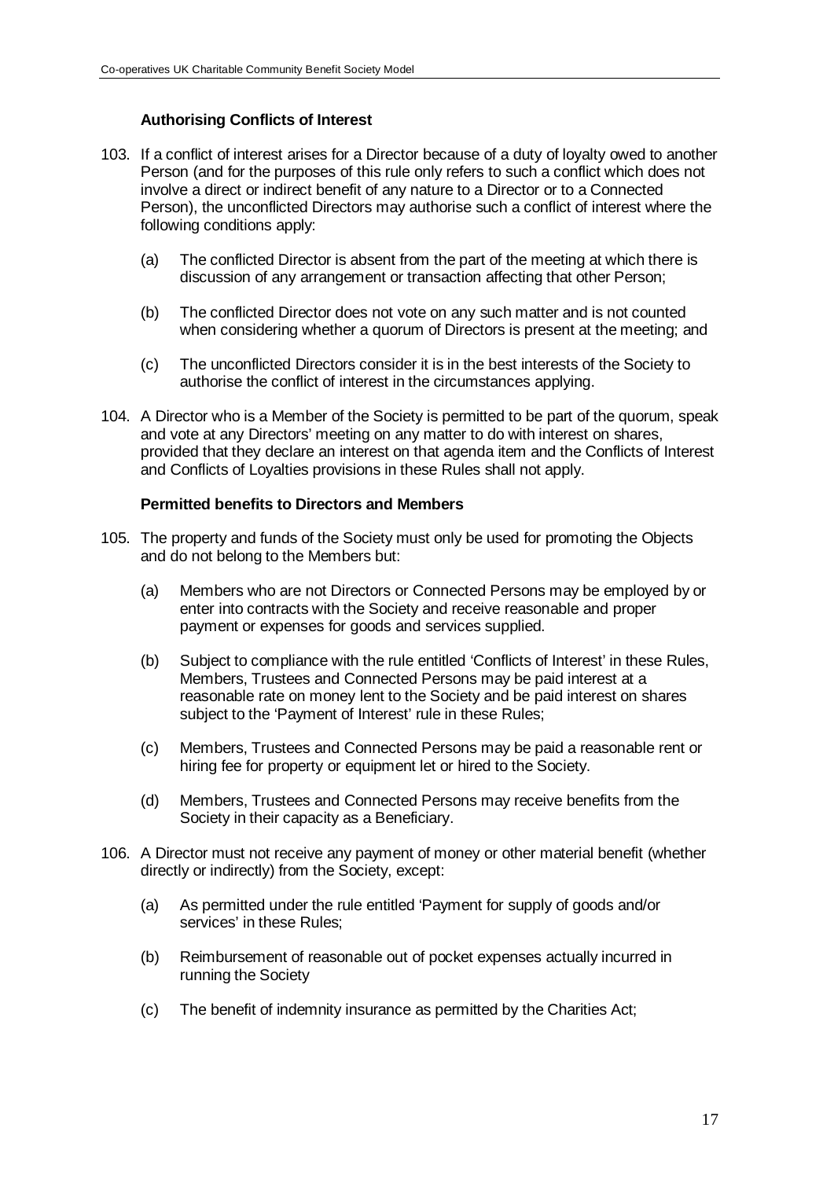# **Authorising Conflicts of Interest**

- 103. If a conflict of interest arises for a Director because of a duty of loyalty owed to another Person (and for the purposes of this rule only refers to such a conflict which does not involve a direct or indirect benefit of any nature to a Director or to a Connected Person), the unconflicted Directors may authorise such a conflict of interest where the following conditions apply:
	- (a) The conflicted Director is absent from the part of the meeting at which there is discussion of any arrangement or transaction affecting that other Person;
	- (b) The conflicted Director does not vote on any such matter and is not counted when considering whether a quorum of Directors is present at the meeting; and
	- (c) The unconflicted Directors consider it is in the best interests of the Society to authorise the conflict of interest in the circumstances applying.
- 104. A Director who is a Member of the Society is permitted to be part of the quorum, speak and vote at any Directors' meeting on any matter to do with interest on shares, provided that they declare an interest on that agenda item and the Conflicts of Interest and Conflicts of Loyalties provisions in these Rules shall not apply.

# **Permitted benefits to Directors and Members**

- 105. The property and funds of the Society must only be used for promoting the Objects and do not belong to the Members but:
	- (a) Members who are not Directors or Connected Persons may be employed by or enter into contracts with the Society and receive reasonable and proper payment or expenses for goods and services supplied.
	- (b) Subject to compliance with the rule entitled 'Conflicts of Interest' in these Rules, Members, Trustees and Connected Persons may be paid interest at a reasonable rate on money lent to the Society and be paid interest on shares subject to the 'Payment of Interest' rule in these Rules;
	- (c) Members, Trustees and Connected Persons may be paid a reasonable rent or hiring fee for property or equipment let or hired to the Society.
	- (d) Members, Trustees and Connected Persons may receive benefits from the Society in their capacity as a Beneficiary.
- 106. A Director must not receive any payment of money or other material benefit (whether directly or indirectly) from the Society, except:
	- (a) As permitted under the rule entitled 'Payment for supply of goods and/or services' in these Rules;
	- (b) Reimbursement of reasonable out of pocket expenses actually incurred in running the Society
	- (c) The benefit of indemnity insurance as permitted by the Charities Act;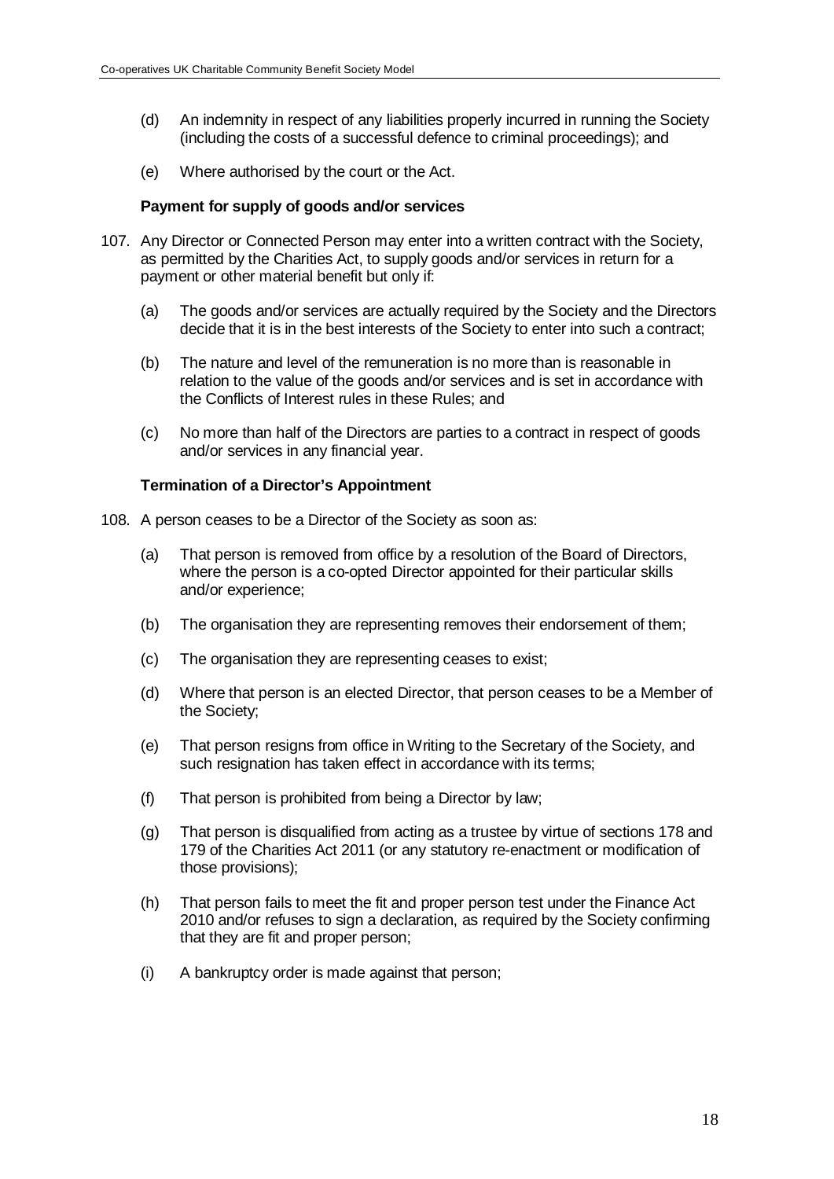- (d) An indemnity in respect of any liabilities properly incurred in running the Society (including the costs of a successful defence to criminal proceedings); and
- (e) Where authorised by the court or the Act.

#### **Payment for supply of goods and/or services**

- 107. Any Director or Connected Person may enter into a written contract with the Society, as permitted by the Charities Act, to supply goods and/or services in return for a payment or other material benefit but only if:
	- (a) The goods and/or services are actually required by the Society and the Directors decide that it is in the best interests of the Society to enter into such a contract;
	- (b) The nature and level of the remuneration is no more than is reasonable in relation to the value of the goods and/or services and is set in accordance with the Conflicts of Interest rules in these Rules; and
	- (c) No more than half of the Directors are parties to a contract in respect of goods and/or services in any financial year.

#### **Termination of a Director's Appointment**

- 108. A person ceases to be a Director of the Society as soon as:
	- (a) That person is removed from office by a resolution of the Board of Directors, where the person is a co-opted Director appointed for their particular skills and/or experience;
	- (b) The organisation they are representing removes their endorsement of them;
	- (c) The organisation they are representing ceases to exist;
	- (d) Where that person is an elected Director, that person ceases to be a Member of the Society;
	- (e) That person resigns from office in Writing to the Secretary of the Society, and such resignation has taken effect in accordance with its terms;
	- (f) That person is prohibited from being a Director by law;
	- (g) That person is disqualified from acting as a trustee by virtue of sections 178 and 179 of the Charities Act 2011 (or any statutory re-enactment or modification of those provisions);
	- (h) That person fails to meet the fit and proper person test under the Finance Act 2010 and/or refuses to sign a declaration, as required by the Society confirming that they are fit and proper person;
	- (i) A bankruptcy order is made against that person;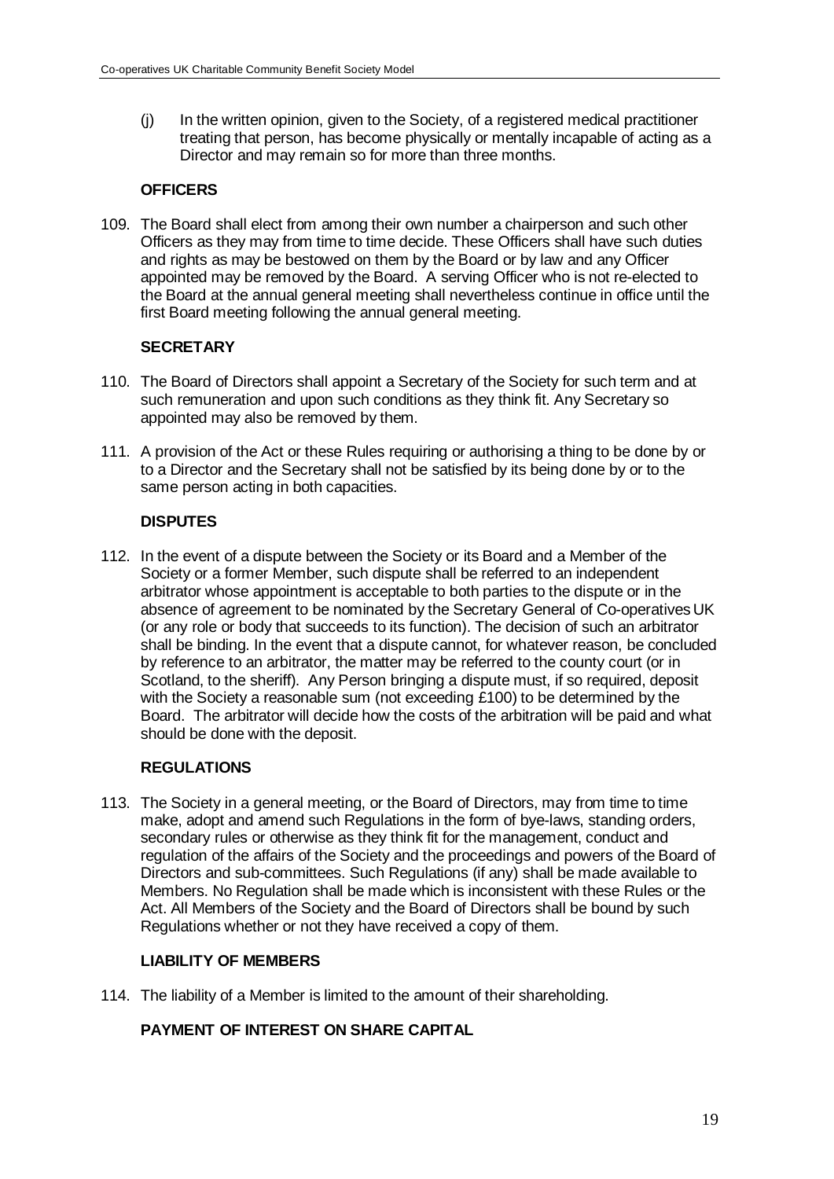(j) In the written opinion, given to the Society, of a registered medical practitioner treating that person, has become physically or mentally incapable of acting as a Director and may remain so for more than three months.

# **OFFICERS**

109. The Board shall elect from among their own number a chairperson and such other Officers as they may from time to time decide. These Officers shall have such duties and rights as may be bestowed on them by the Board or by law and any Officer appointed may be removed by the Board. A serving Officer who is not re-elected to the Board at the annual general meeting shall nevertheless continue in office until the first Board meeting following the annual general meeting.

# **SECRETARY**

- 110. The Board of Directors shall appoint a Secretary of the Society for such term and at such remuneration and upon such conditions as they think fit. Any Secretary so appointed may also be removed by them.
- 111. A provision of the Act or these Rules requiring or authorising a thing to be done by or to a Director and the Secretary shall not be satisfied by its being done by or to the same person acting in both capacities.

# **DISPUTES**

112. In the event of a dispute between the Society or its Board and a Member of the Society or a former Member, such dispute shall be referred to an independent arbitrator whose appointment is acceptable to both parties to the dispute or in the absence of agreement to be nominated by the Secretary General of Co-operatives UK (or any role or body that succeeds to its function). The decision of such an arbitrator shall be binding. In the event that a dispute cannot, for whatever reason, be concluded by reference to an arbitrator, the matter may be referred to the county court (or in Scotland, to the sheriff). Any Person bringing a dispute must, if so required, deposit with the Society a reasonable sum (not exceeding £100) to be determined by the Board. The arbitrator will decide how the costs of the arbitration will be paid and what should be done with the deposit.

# **REGULATIONS**

113. The Society in a general meeting, or the Board of Directors, may from time to time make, adopt and amend such Regulations in the form of bye-laws, standing orders, secondary rules or otherwise as they think fit for the management, conduct and regulation of the affairs of the Society and the proceedings and powers of the Board of Directors and sub-committees. Such Regulations (if any) shall be made available to Members. No Regulation shall be made which is inconsistent with these Rules or the Act. All Members of the Society and the Board of Directors shall be bound by such Regulations whether or not they have received a copy of them.

# **LIABILITY OF MEMBERS**

114. The liability of a Member is limited to the amount of their shareholding.

# **PAYMENT OF INTEREST ON SHARE CAPITAL**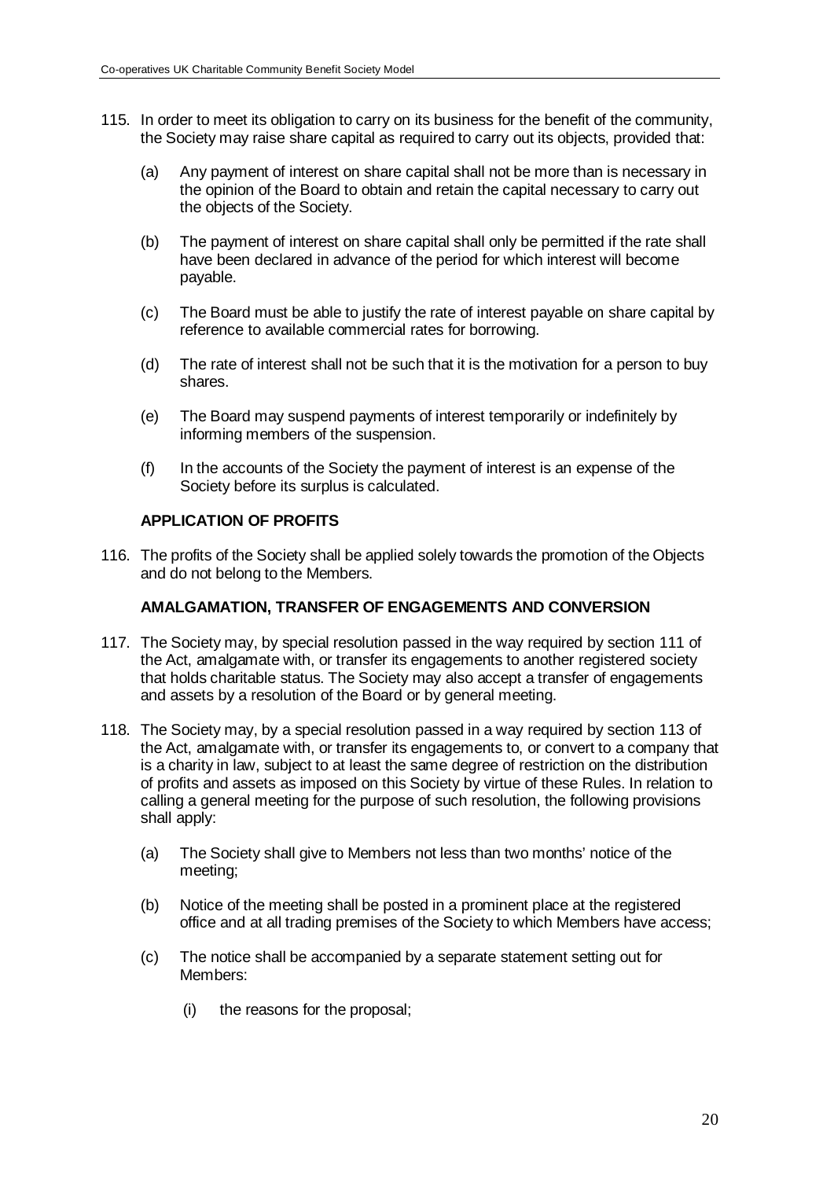- 115. In order to meet its obligation to carry on its business for the benefit of the community, the Society may raise share capital as required to carry out its objects, provided that:
	- (a) Any payment of interest on share capital shall not be more than is necessary in the opinion of the Board to obtain and retain the capital necessary to carry out the objects of the Society.
	- (b) The payment of interest on share capital shall only be permitted if the rate shall have been declared in advance of the period for which interest will become payable.
	- (c) The Board must be able to justify the rate of interest payable on share capital by reference to available commercial rates for borrowing.
	- (d) The rate of interest shall not be such that it is the motivation for a person to buy shares.
	- (e) The Board may suspend payments of interest temporarily or indefinitely by informing members of the suspension.
	- (f) In the accounts of the Society the payment of interest is an expense of the Society before its surplus is calculated.

#### **APPLICATION OF PROFITS**

116. The profits of the Society shall be applied solely towards the promotion of the Objects and do not belong to the Members.

### **AMALGAMATION, TRANSFER OF ENGAGEMENTS AND CONVERSION**

- 117. The Society may, by special resolution passed in the way required by section 111 of the Act, amalgamate with, or transfer its engagements to another registered society that holds charitable status. The Society may also accept a transfer of engagements and assets by a resolution of the Board or by general meeting.
- 118. The Society may, by a special resolution passed in a way required by section 113 of the Act, amalgamate with, or transfer its engagements to, or convert to a company that is a charity in law, subject to at least the same degree of restriction on the distribution of profits and assets as imposed on this Society by virtue of these Rules. In relation to calling a general meeting for the purpose of such resolution, the following provisions shall apply:
	- (a) The Society shall give to Members not less than two months' notice of the meeting;
	- (b) Notice of the meeting shall be posted in a prominent place at the registered office and at all trading premises of the Society to which Members have access;
	- (c) The notice shall be accompanied by a separate statement setting out for Members:
		- (i) the reasons for the proposal;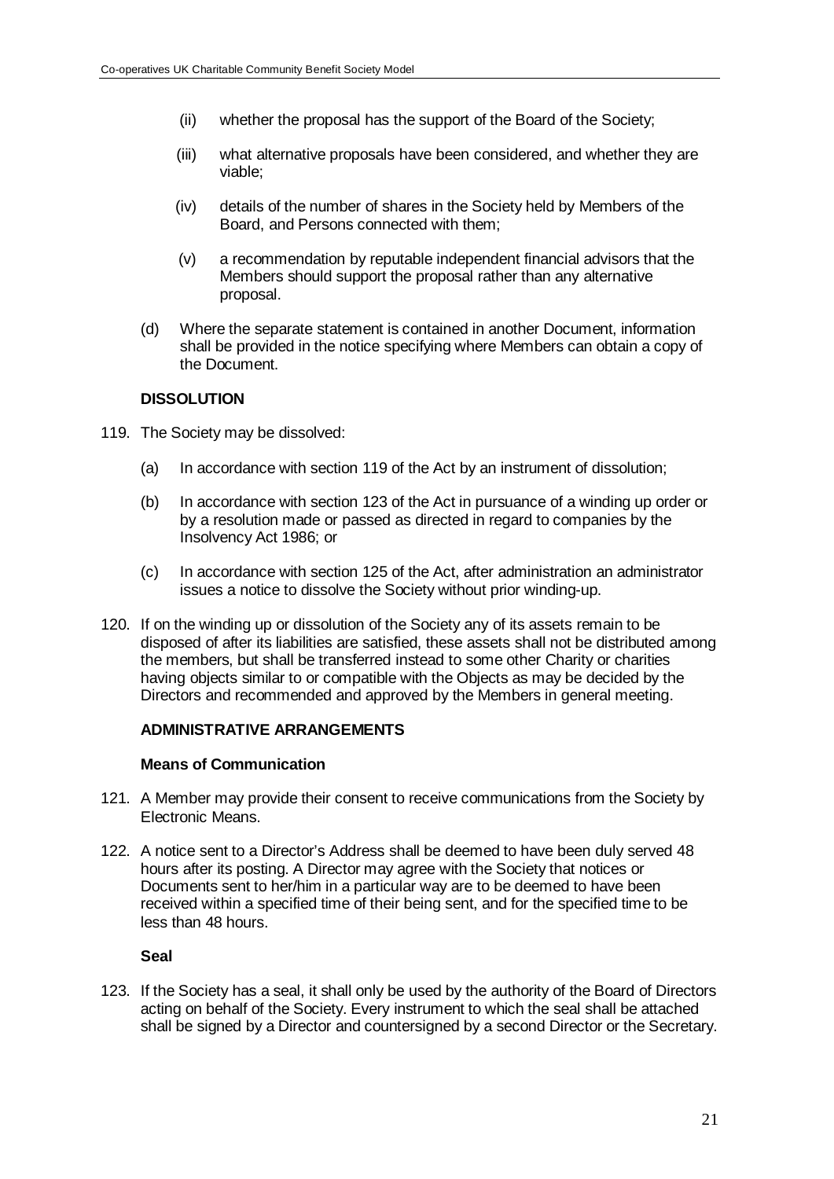- (ii) whether the proposal has the support of the Board of the Society;
- (iii) what alternative proposals have been considered, and whether they are viable;
- (iv) details of the number of shares in the Society held by Members of the Board, and Persons connected with them;
- (v) a recommendation by reputable independent financial advisors that the Members should support the proposal rather than any alternative proposal.
- (d) Where the separate statement is contained in another Document, information shall be provided in the notice specifying where Members can obtain a copy of the Document.

#### **DISSOLUTION**

- 119. The Society may be dissolved:
	- (a) In accordance with section 119 of the Act by an instrument of dissolution;
	- (b) In accordance with section 123 of the Act in pursuance of a winding up order or by a resolution made or passed as directed in regard to companies by the Insolvency Act 1986; or
	- (c) In accordance with section 125 of the Act, after administration an administrator issues a notice to dissolve the Society without prior winding-up.
- 120. If on the winding up or dissolution of the Society any of its assets remain to be disposed of after its liabilities are satisfied, these assets shall not be distributed among the members, but shall be transferred instead to some other Charity or charities having objects similar to or compatible with the Objects as may be decided by the Directors and recommended and approved by the Members in general meeting.

# **ADMINISTRATIVE ARRANGEMENTS**

#### **Means of Communication**

- 121. A Member may provide their consent to receive communications from the Society by Electronic Means.
- 122. A notice sent to a Director's Address shall be deemed to have been duly served 48 hours after its posting. A Director may agree with the Society that notices or Documents sent to her/him in a particular way are to be deemed to have been received within a specified time of their being sent, and for the specified time to be less than 48 hours.

#### **Seal**

123. If the Society has a seal, it shall only be used by the authority of the Board of Directors acting on behalf of the Society. Every instrument to which the seal shall be attached shall be signed by a Director and countersigned by a second Director or the Secretary.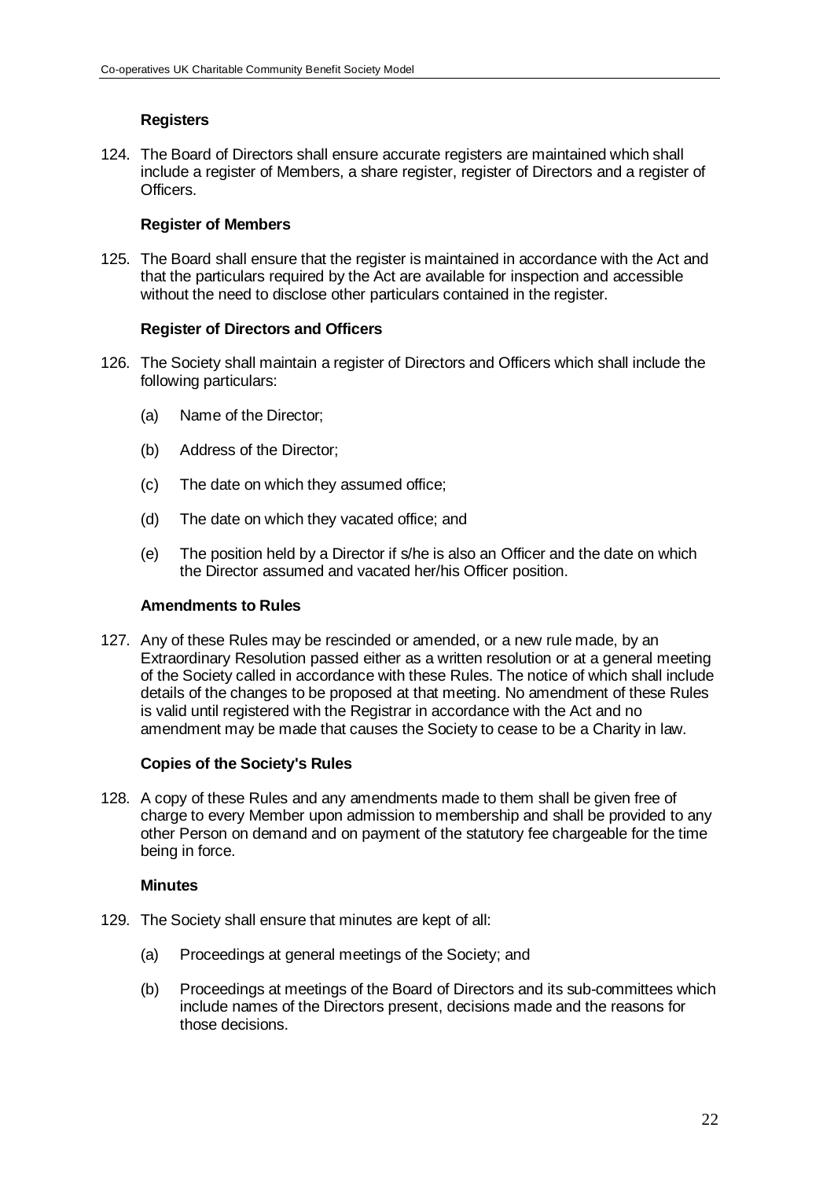# **Registers**

124. The Board of Directors shall ensure accurate registers are maintained which shall include a register of Members, a share register, register of Directors and a register of Officers.

#### **Register of Members**

125. The Board shall ensure that the register is maintained in accordance with the Act and that the particulars required by the Act are available for inspection and accessible without the need to disclose other particulars contained in the register.

#### **Register of Directors and Officers**

- 126. The Society shall maintain a register of Directors and Officers which shall include the following particulars:
	- (a) Name of the Director;
	- (b) Address of the Director;
	- (c) The date on which they assumed office;
	- (d) The date on which they vacated office; and
	- (e) The position held by a Director if s/he is also an Officer and the date on which the Director assumed and vacated her/his Officer position.

#### **Amendments to Rules**

127. Any of these Rules may be rescinded or amended, or a new rule made, by an Extraordinary Resolution passed either as a written resolution or at a general meeting of the Society called in accordance with these Rules. The notice of which shall include details of the changes to be proposed at that meeting. No amendment of these Rules is valid until registered with the Registrar in accordance with the Act and no amendment may be made that causes the Society to cease to be a Charity in law.

#### **Copies of the Society's Rules**

128. A copy of these Rules and any amendments made to them shall be given free of charge to every Member upon admission to membership and shall be provided to any other Person on demand and on payment of the statutory fee chargeable for the time being in force.

#### **Minutes**

- 129. The Society shall ensure that minutes are kept of all:
	- (a) Proceedings at general meetings of the Society; and
	- (b) Proceedings at meetings of the Board of Directors and its sub-committees which include names of the Directors present, decisions made and the reasons for those decisions.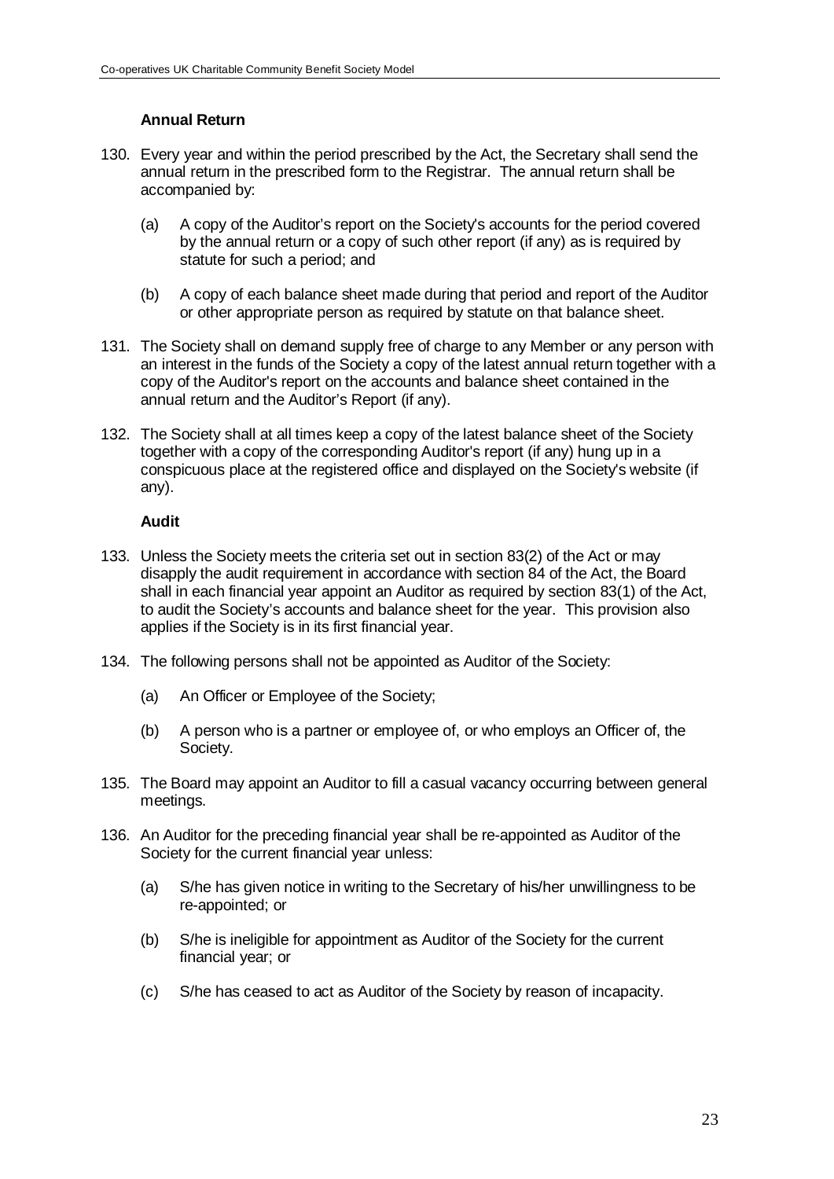# **Annual Return**

- 130. Every year and within the period prescribed by the Act, the Secretary shall send the annual return in the prescribed form to the Registrar. The annual return shall be accompanied by:
	- (a) A copy of the Auditor's report on the Society's accounts for the period covered by the annual return or a copy of such other report (if any) as is required by statute for such a period; and
	- (b) A copy of each balance sheet made during that period and report of the Auditor or other appropriate person as required by statute on that balance sheet.
- 131. The Society shall on demand supply free of charge to any Member or any person with an interest in the funds of the Society a copy of the latest annual return together with a copy of the Auditor's report on the accounts and balance sheet contained in the annual return and the Auditor's Report (if any).
- 132. The Society shall at all times keep a copy of the latest balance sheet of the Society together with a copy of the corresponding Auditor's report (if any) hung up in a conspicuous place at the registered office and displayed on the Society's website (if any).

#### **Audit**

- 133. Unless the Society meets the criteria set out in section 83(2) of the Act or may disapply the audit requirement in accordance with section 84 of the Act, the Board shall in each financial year appoint an Auditor as required by section 83(1) of the Act, to audit the Society's accounts and balance sheet for the year. This provision also applies if the Society is in its first financial year.
- 134. The following persons shall not be appointed as Auditor of the Society:
	- (a) An Officer or Employee of the Society;
	- (b) A person who is a partner or employee of, or who employs an Officer of, the Society.
- 135. The Board may appoint an Auditor to fill a casual vacancy occurring between general meetings.
- 136. An Auditor for the preceding financial year shall be re-appointed as Auditor of the Society for the current financial year unless:
	- (a) S/he has given notice in writing to the Secretary of his/her unwillingness to be re-appointed; or
	- (b) S/he is ineligible for appointment as Auditor of the Society for the current financial year; or
	- (c) S/he has ceased to act as Auditor of the Society by reason of incapacity.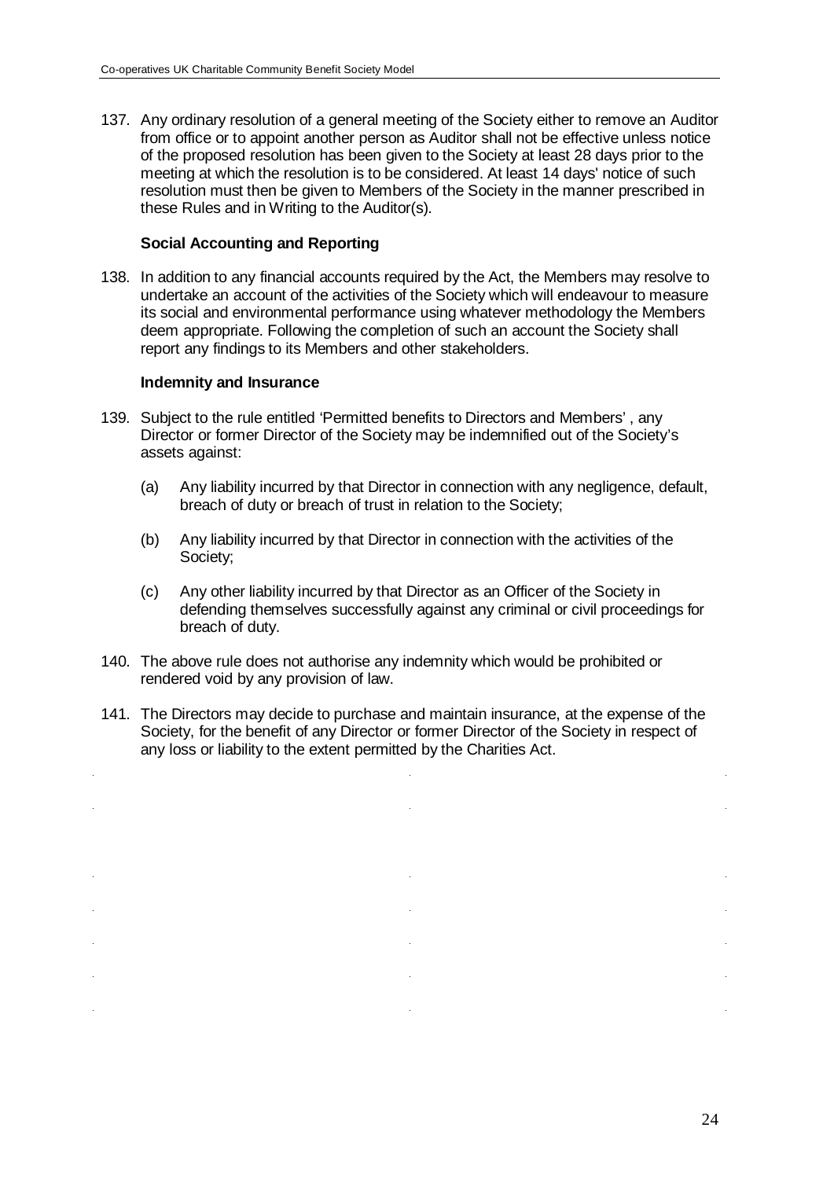137. Any ordinary resolution of a general meeting of the Society either to remove an Auditor from office or to appoint another person as Auditor shall not be effective unless notice of the proposed resolution has been given to the Society at least 28 days prior to the meeting at which the resolution is to be considered. At least 14 days' notice of such resolution must then be given to Members of the Society in the manner prescribed in these Rules and in Writing to the Auditor(s).

#### **Social Accounting and Reporting**

138. In addition to any financial accounts required by the Act, the Members may resolve to undertake an account of the activities of the Society which will endeavour to measure its social and environmental performance using whatever methodology the Members deem appropriate. Following the completion of such an account the Society shall report any findings to its Members and other stakeholders.

#### **Indemnity and Insurance**

- 139. Subject to the rule entitled 'Permitted benefits to Directors and Members' , any Director or former Director of the Society may be indemnified out of the Society's assets against:
	- (a) Any liability incurred by that Director in connection with any negligence, default, breach of duty or breach of trust in relation to the Society;
	- (b) Any liability incurred by that Director in connection with the activities of the Society;
	- (c) Any other liability incurred by that Director as an Officer of the Society in defending themselves successfully against any criminal or civil proceedings for breach of duty.
- 140. The above rule does not authorise any indemnity which would be prohibited or rendered void by any provision of law.
- 141. The Directors may decide to purchase and maintain insurance, at the expense of the Society, for the benefit of any Director or former Director of the Society in respect of any loss or liability to the extent permitted by the Charities Act.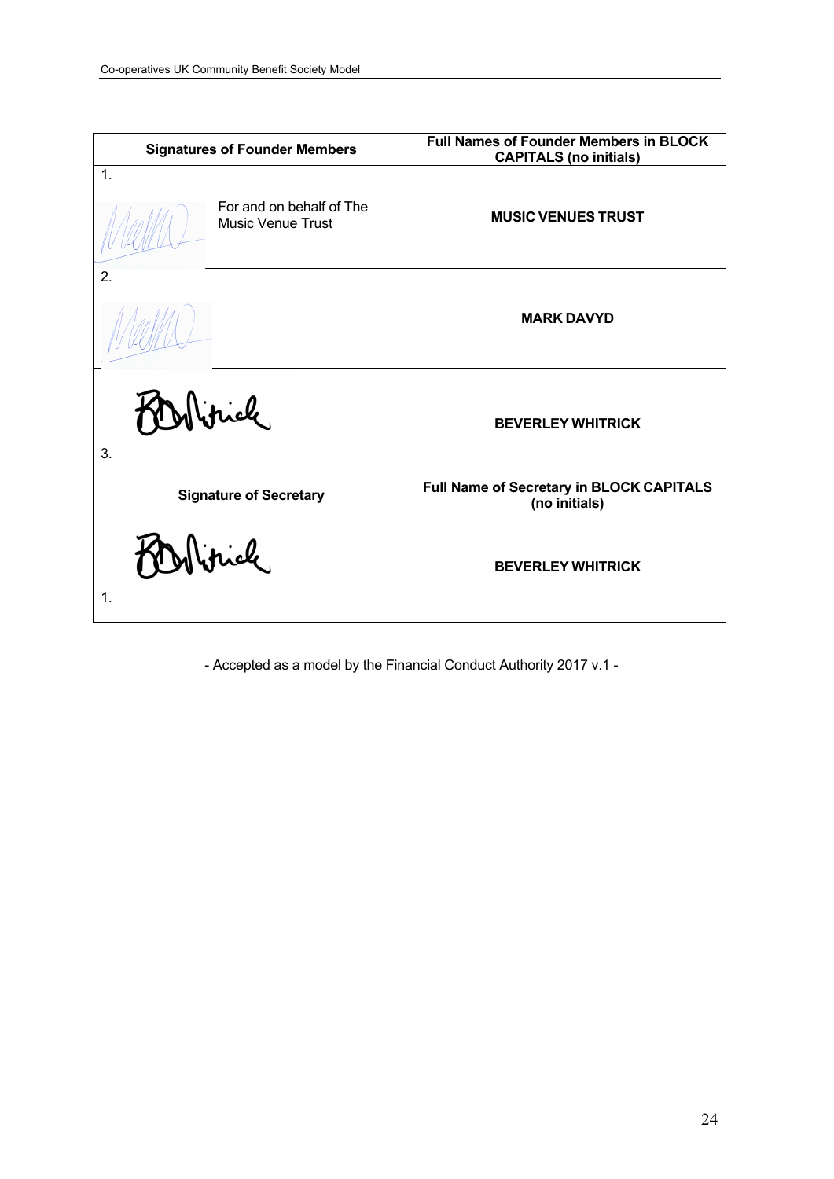| <b>Signatures of Founder Members</b>                                   | <b>Full Names of Founder Members in BLOCK</b><br><b>CAPITALS (no initials)</b> |  |
|------------------------------------------------------------------------|--------------------------------------------------------------------------------|--|
| $\mathbf{1}$ .<br>For and on behalf of The<br><b>Music Venue Trust</b> | <b>MUSIC VENUES TRUST</b>                                                      |  |
| 2.                                                                     | <b>MARK DAVYD</b>                                                              |  |
| Wrick<br>3.                                                            | <b>BEVERLEY WHITRICK</b>                                                       |  |
| <b>Signature of Secretary</b>                                          | <b>Full Name of Secretary in BLOCK CAPITALS</b><br>(no initials)               |  |
| 1.                                                                     | <b>BEVERLEY WHITRICK</b>                                                       |  |

- Accepted as a model by the Financial Conduct Authority 2017 v.1 -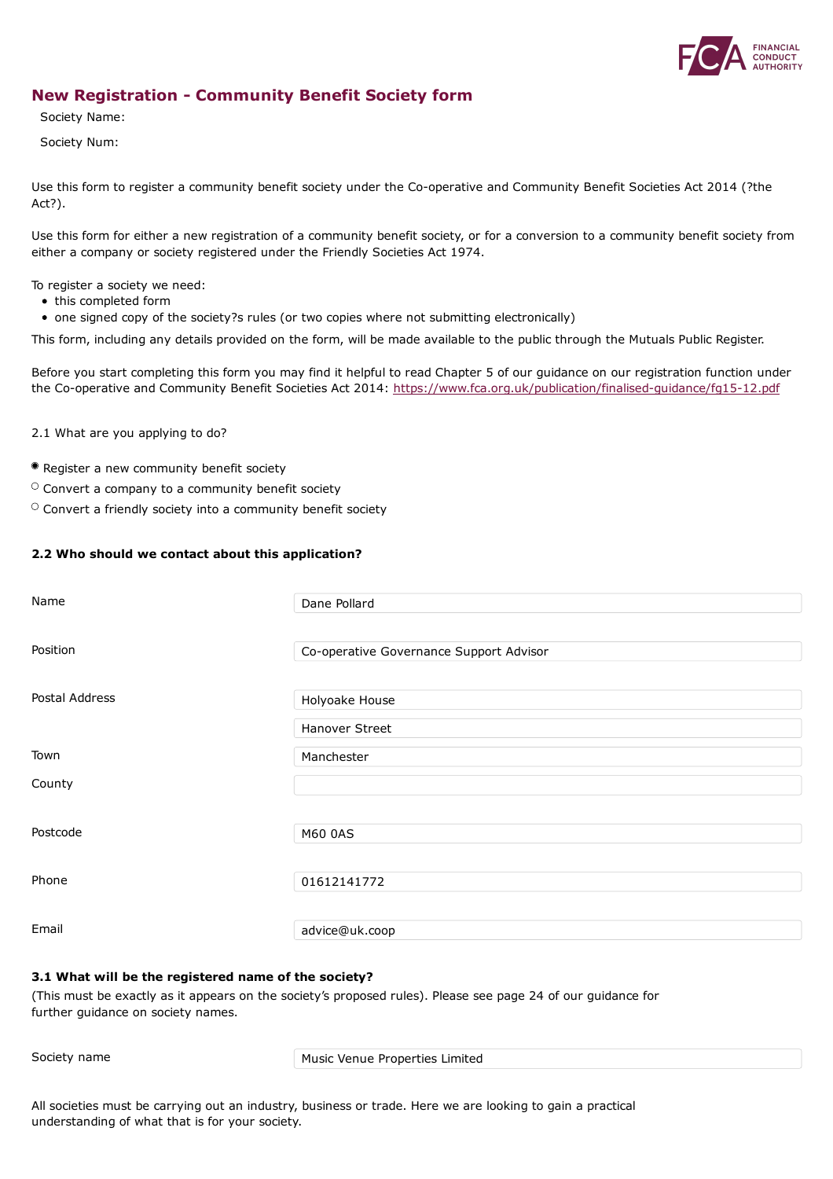

### **New Registration - Community Benefit Society form**

Society Name:

Society Num:

Use this form to register a community benefit society under the Co-operative and Community Benefit Societies Act 2014 (?the Act?).

Use this form for either a new registration of a community benefit society, or for a conversion to a community benefit society from either a company or society registered under the Friendly Societies Act 1974.

To register a society we need:

- this completed form
- one signed copy of the society?s rules (or two copies where not submitting electronically)

This form, including any details provided on the form, will be made available to the public through the Mutuals Public Register.

Before you start completing this form you may find it helpful to read Chapter 5 of our guidance on our registration function under the Co-operative and Community Benefit Societies Act 2014: <https://www.fca.org.uk/publication/finalised-guidance/fg15-12.pdf>

2.1 What are you applying to do?

- Register a new community benefit society
- $\circ$  Convert a company to a community benefit society
- $\circ$  Convert a friendly society into a community benefit society

#### **2.2 Who should we contact about this application?**

| Name           | Dane Pollard                            |
|----------------|-----------------------------------------|
| Position       |                                         |
|                | Co-operative Governance Support Advisor |
| Postal Address | Holyoake House                          |
|                | Hanover Street                          |
| Town           | Manchester                              |
| County         |                                         |
|                |                                         |
| Postcode       | M60 0AS                                 |
|                |                                         |
| Phone          | 01612141772                             |
| Email          | advice@uk.coop                          |

#### **3.1 What will be the registered name of the society?**

(This must be exactly as it appears on the society's proposed rules). Please see page 24 of our guidance for further guidance on society names.

Society name Music Venue Properties Limited

All societies must be carrying out an industry, business or trade. Here we are looking to gain a practical understanding of what that is for your society.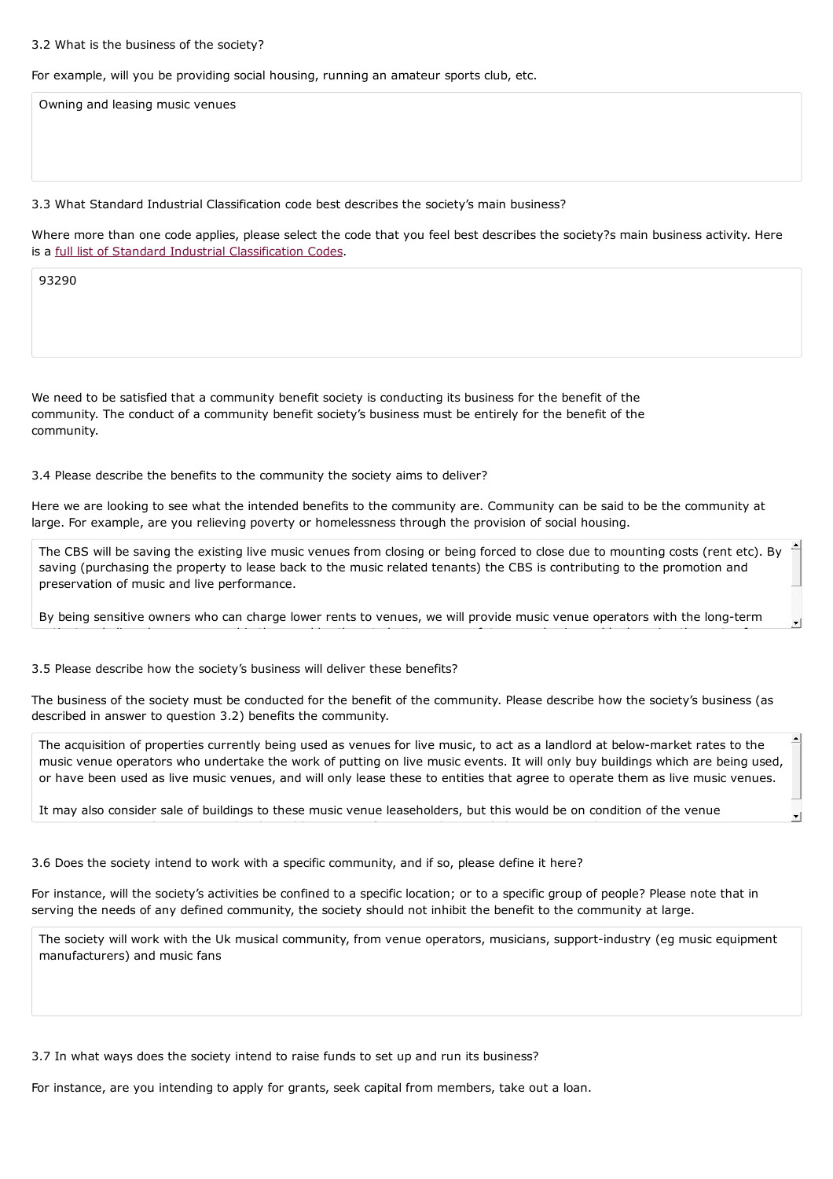#### 3.2 What is the business of the society?

For example, will you be providing social housing, running an amateur sports club, etc.

Owning and leasing music venues

#### 3.3 What Standard Industrial Classification code best describes the society's main business?

Where more than one code applies, please select the code that you feel best describes the society?s main business activity. Here is a full list of Standard Industrial [Classification](http://resources.companieshouse.gov.uk/sic/) Codes.

93290

We need to be satisfied that a community benefit society is conducting its business for the benefit of the community. The conduct of a community benefit society's business must be entirely for the benefit of the community.

3.4 Please describe the benefits to the community the society aims to deliver?

Here we are looking to see what the intended benefits to the community are. Community can be said to be the community at large. For example, are you relieving poverty or homelessness through the provision of social housing.

The CBS will be saving the existing live music venues from closing or being forced to close due to mounting costs (rent etc). By saving (purchasing the property to lease back to the music related tenants) the CBS is contributing to the promotion and preservation of music and live performance.

By being sensitive owners who can charge lower rents to venues, we will provide music venue operators with the long-term patient and aligned venue ownership than enables them to better manage future pandemics and by lowering the costs of

3.5 Please describe how the society's business will deliver these benefits?

The business of the society must be conducted for the benefit of the community. Please describe how the society's business (as described in answer to question 3.2) benefits the community.

The acquisition of properties currently being used as venues for live music, to act as a landlord at below-market rates to the music venue operators who undertake the work of putting on live music events. It will only buy buildings which are being used, or have been used as live music venues, and will only lease these to entities that agree to operate them as live music venues.

It may also consider sale of buildings to these music venue leaseholders, but this would be on condition of the venue

3.6 Does the society intend to work with a specific community, and if so, please define it here?

For instance, will the society's activities be confined to a specific location; or to a specific group of people? Please note that in serving the needs of any defined community, the society should not inhibit the benefit to the community at large.

The society will work with the Uk musical community, from venue operators, musicians, support-industry (eg music equipment manufacturers) and music fans

3.7 In what ways does the society intend to raise funds to set up and run its business?

For instance, are you intending to apply for grants, seek capital from members, take out a loan.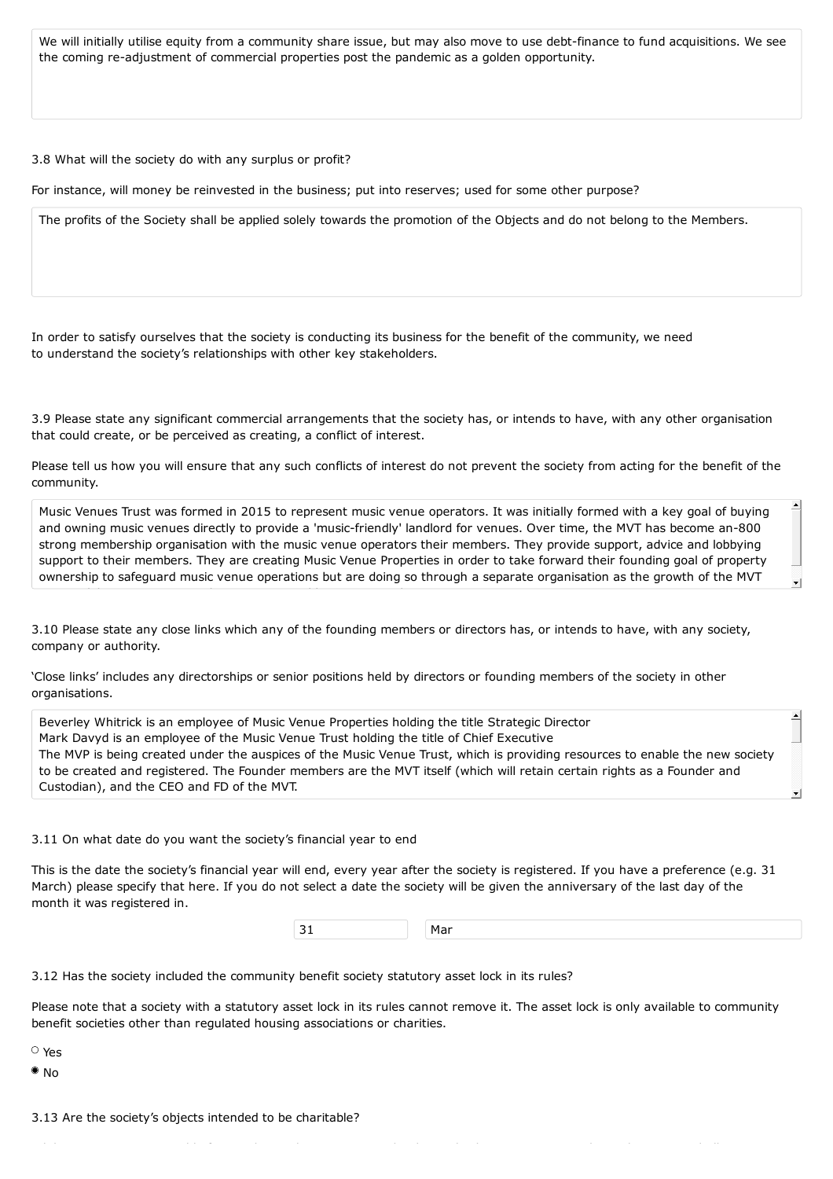We will initially utilise equity from a community share issue, but may also move to use debt-finance to fund acquisitions. We see the coming re-adjustment of commercial properties post the pandemic as a golden opportunity.

3.8 What will the society do with any surplus or profit?

For instance, will money be reinvested in the business; put into reserves; used for some other purpose?

The profits of the Society shall be applied solely towards the promotion of the Objects and do not belong to the Members.

In order to satisfy ourselves that the society is conducting its business for the benefit of the community, we need to understand the society's relationships with other key stakeholders.

3.9 Please state any significant commercial arrangements that the society has, or intends to have, with any other organisation that could create, or be perceived as creating, a conflict of interest.

Please tell us how you will ensure that any such conflicts of interest do not prevent the society from acting for the benefit of the community.

Music Venues Trust was formed in 2015 to represent music venue operators. It was initially formed with a key goal of buying and owning music venues directly to provide a 'music-friendly' landlord for venues. Over time, the MVT has become an-800 strong membership organisation with the music venue operators their members. They provide support, advice and lobbying support to their members. They are creating Music Venue Properties in order to take forward their founding goal of property ownership to safeguard music venue operations but are doing so through a separate organisation as the growth of the MVT

3.10 Please state any close links which any of the founding members or directors has, or intends to have, with any society, company or authority.

'Close links' includes any directorships or senior positions held by directors or founding members of the society in other organisations.

Beverley Whitrick is an employee of Music Venue Properties holding the title Strategic Director Mark Davyd is an employee of the Music Venue Trust holding the title of Chief Executive The MVP is being created under the auspices of the Music Venue Trust, which is providing resources to enable the new society to be created and registered. The Founder members are the MVT itself (which will retain certain rights as a Founder and Custodian), and the CEO and FD of the MVT.

3.11 On what date do you want the society's financial year to end

This is the date the society's financial year will end, every year after the society is registered. If you have a preference (e.g. 31 month it was registered in. These plan and capital raising strategy plan and capital raising strategy, taking the society through to the society through to the society through to the society through to the society through March) please specify that here. If you do not select a date the society will be given the anniversary of the last day of the

| --<br>$\sim$ $\sim$ |  | .<br><u>_</u><br>''Idi |
|---------------------|--|------------------------|
|---------------------|--|------------------------|

3.12 Has the society included the community benefit society statutory asset lock in its rules?

Please note that a society with a statutory asset lock in its rules cannot remove it. The asset lock is only available to community benefit societies other than regulated housing associations or charities.

 $W_{\rm eff}$  regulating charities, we need to know this because societies whose objects are whose objects are whose objects are whose objects are whose objects are whose objects are whose objects are whose objects are whose o

Yes

 $\bullet$  No

3.13 Are the society's objects intended to be charitable?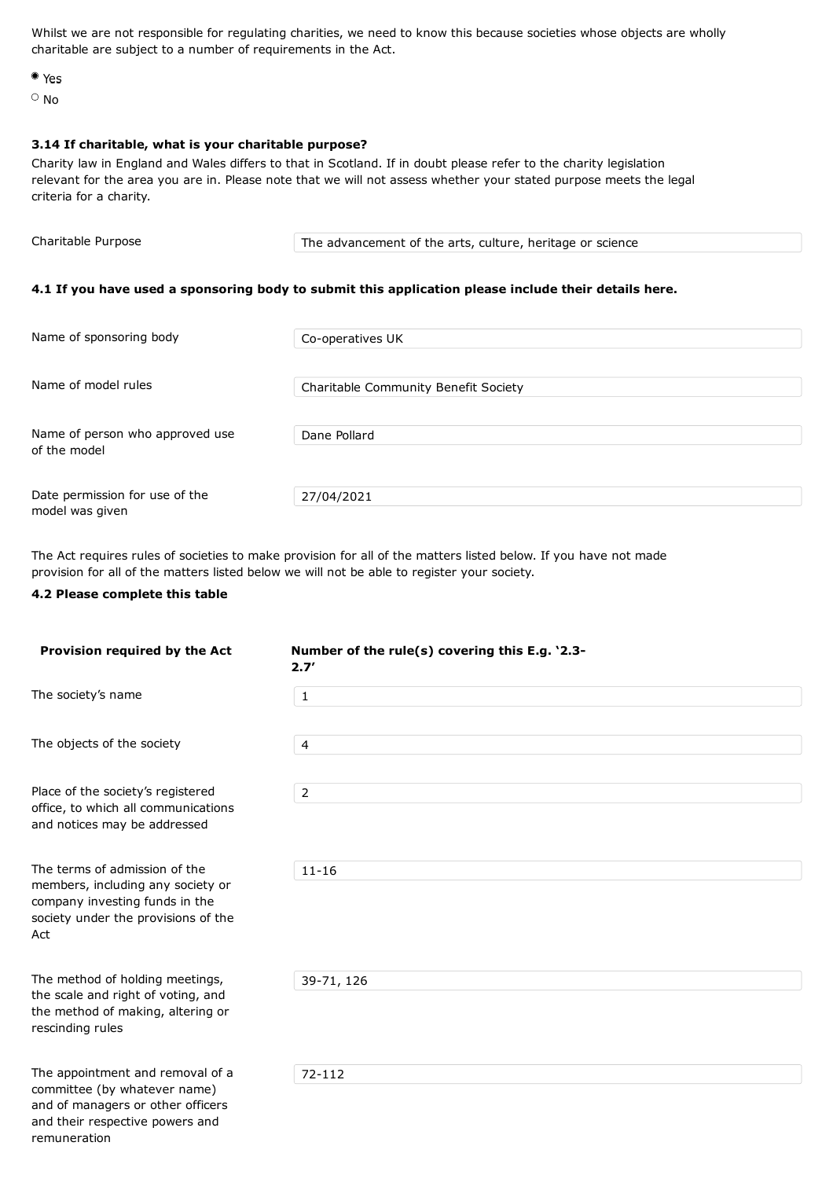Whilst we are not responsible for regulating charities, we need to know this because societies whose objects are wholly charitable are subject to a number of requirements in the Act.

Yes

 $\circ$  No

#### **3.14 If charitable, what is your charitable purpose?**

Charity law in England and Wales differs to that in Scotland. If in doubt please refer to the charity legislation relevant for the area you are in. Please note that we will not assess whether your stated purpose meets the legal criteria for a charity.

Charitable Purpose The advancement of the arts, culture, heritage or science

#### **4.1 If you have used a sponsoring body to submit this application please include their details here.**

| Name of sponsoring body         | Co-operatives UK                     |
|---------------------------------|--------------------------------------|
|                                 |                                      |
| Name of model rules             | Charitable Community Benefit Society |
|                                 |                                      |
| Name of person who approved use | Dane Pollard                         |
| of the model                    |                                      |
|                                 |                                      |
| Date permission for use of the  | 27/04/2021                           |
| model was given                 |                                      |

The Act requires rules of societies to make provision for all of the matters listed below. If you have not made provision for all of the matters listed below we will not be able to register your society.

#### **4.2 Please complete this table**

and their respective powers and

remuneration

| Provision required by the Act                                                                                                                      | Number of the rule(s) covering this E.g. '2.3-<br>2.7' |
|----------------------------------------------------------------------------------------------------------------------------------------------------|--------------------------------------------------------|
| The society's name                                                                                                                                 | $\mathbf 1$                                            |
| The objects of the society                                                                                                                         | $\overline{4}$                                         |
| Place of the society's registered<br>office, to which all communications<br>and notices may be addressed                                           | $\overline{2}$                                         |
| The terms of admission of the<br>members, including any society or<br>company investing funds in the<br>society under the provisions of the<br>Act | $11 - 16$                                              |
| The method of holding meetings,<br>the scale and right of voting, and<br>the method of making, altering or<br>rescinding rules                     | 39-71, 126                                             |
| The appointment and removal of a<br>committee (by whatever name)<br>and of managers or other officers                                              | 72-112                                                 |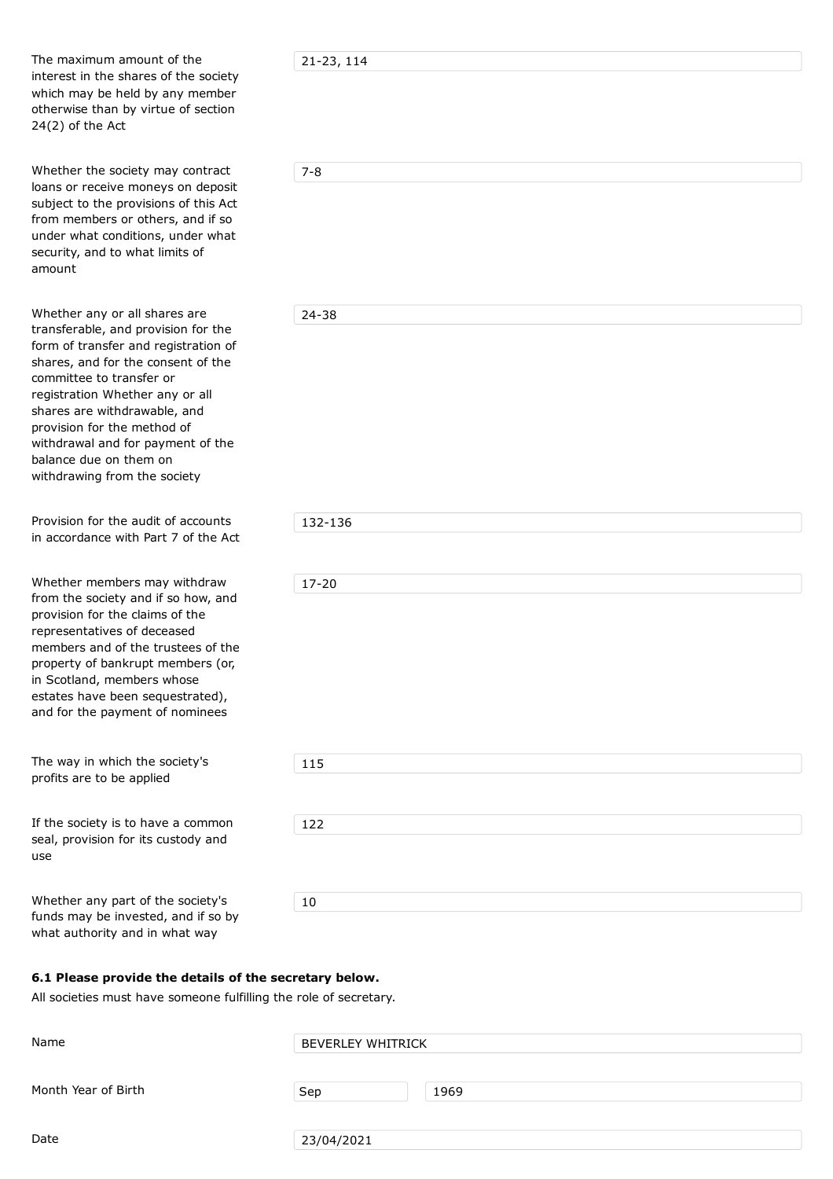The maximum amount of the interest in the shares of the society interest in the shares of the society which may be held by any member otherwise than by virtue of section 24(2) of the Act

Whether the society may contract loans or receive moneys on deposit subject to the provisions of this Act from members or others, and if so under what conditions, under what security, and to what limits of amount

Whether any or all shares are transferable, and provision for the form of transfer and registration of shares, and for the consent of the committee to transfer or registration Whether any or all shares are withdrawable, and provision for the method of withdrawal and for payment of the balance due on them on withdrawing from the society

Provision for the audit of accounts in accordance with Part 7 of the Act

Whether members may withdraw from the society and if so how, and provision for the claims of the representatives of deceased members and of the trustees of the property of bankrupt members (or, in Scotland, members whose estates have been sequestrated), and for the payment of nominees

The way in which the society's profits are to be applied

If the society is to have a common seal, provision for its custody and use

Whether any part of the society's funds may be invested, and if so by what authority and in what way

21-23, 114

| ۰.  |    |
|-----|----|
| . . | ۰. |
|     |    |

24-38

| 132-136   |  |  |  |
|-----------|--|--|--|
|           |  |  |  |
|           |  |  |  |
| $17 - 20$ |  |  |  |
|           |  |  |  |
|           |  |  |  |
|           |  |  |  |
|           |  |  |  |
|           |  |  |  |
|           |  |  |  |
|           |  |  |  |
|           |  |  |  |
| 115       |  |  |  |
|           |  |  |  |
|           |  |  |  |
| 122       |  |  |  |
|           |  |  |  |
|           |  |  |  |
|           |  |  |  |
| $10\,$    |  |  |  |
|           |  |  |  |

#### **6.1 Please provide the details of the secretary below.**

All societies must have someone fulfilling the role of secretary.

| Name                | <b>BEVERLEY WHITRICK</b> |      |  |
|---------------------|--------------------------|------|--|
| Month Year of Birth | Sep                      | 1969 |  |
| Date                | 23/04/2021               |      |  |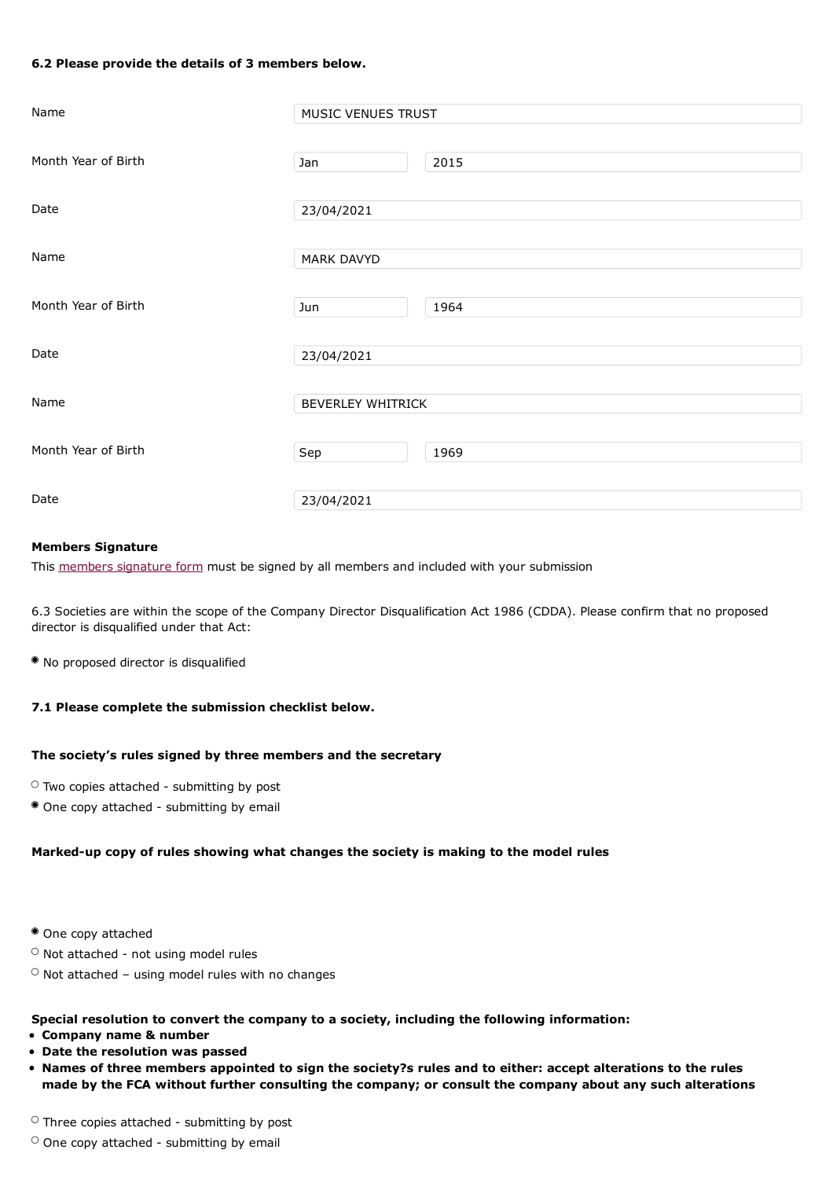#### **6.2 Please provide the details of 3 members below.**

| Name                | MUSIC VENUES TRUST       |      |
|---------------------|--------------------------|------|
| Month Year of Birth | Jan                      | 2015 |
| Date                | 23/04/2021               |      |
| Name                | MARK DAVYD               |      |
| Month Year of Birth | Jun                      | 1964 |
| Date                | 23/04/2021               |      |
| Name                | <b>BEVERLEY WHITRICK</b> |      |
| Month Year of Birth | Sep                      | 1969 |
| Date                | 23/04/2021               |      |

#### **Members Signature**

This members signature form must be signed by all members and included with your submission

6.3 Societies are within the scope of the Company Director Disqualification Act 1986 (CDDA). Please confirm that no proposed director is disqualified under that Act:

No proposed director is disqualified

#### **7.1 Please complete the submission checklist below.**

#### **The society's rules signed by three members and the secretary**

- $\circ$  Two copies attached submitting by post
- One copy attached submitting by email

#### **Marked-up copy of rules showing what changes the society is making to the model rules**

- One copy attached
- $\circ$  Not attached not using model rules
- $\circ$  Not attached using model rules with no changes

#### **Special resolution to convert the company to a society, including the following information:**

- **Company name & number**
- **Date the resolution was passed**
- . Names of three members appointed to sign the society?s rules and to either: accept alterations to the rules **made by the FCA without further consulting the company; or consult the company about any such alterations**

 $\circ$  Three copies attached - submitting by post

#### $\circ$  One copy attached - submitting by email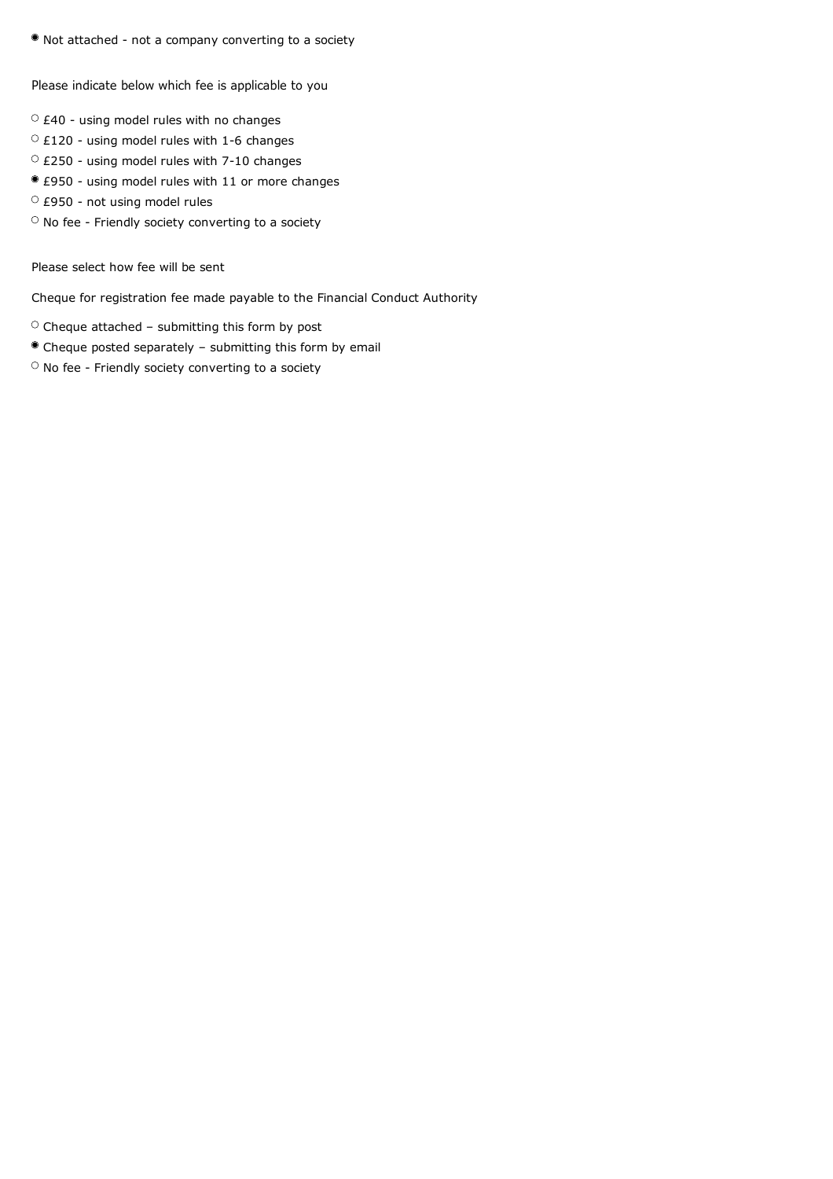Not attached - not a company converting to a society

Please indicate below which fee is applicable to you

- $\circ$  £40 using model rules with no changes
- $\circ$  £120 using model rules with 1-6 changes
- $\circ$  £250 using model rules with 7-10 changes
- £950 using model rules with 11 or more changes
- £950 not using model rules
- $\circ$  No fee Friendly society converting to a society

Please select how fee will be sent

Cheque for registration fee made payable to the Financial Conduct Authority

- $\circ$  Cheque attached submitting this form by post
- Cheque posted separately submitting this form by email
- $\circ$  No fee Friendly society converting to a society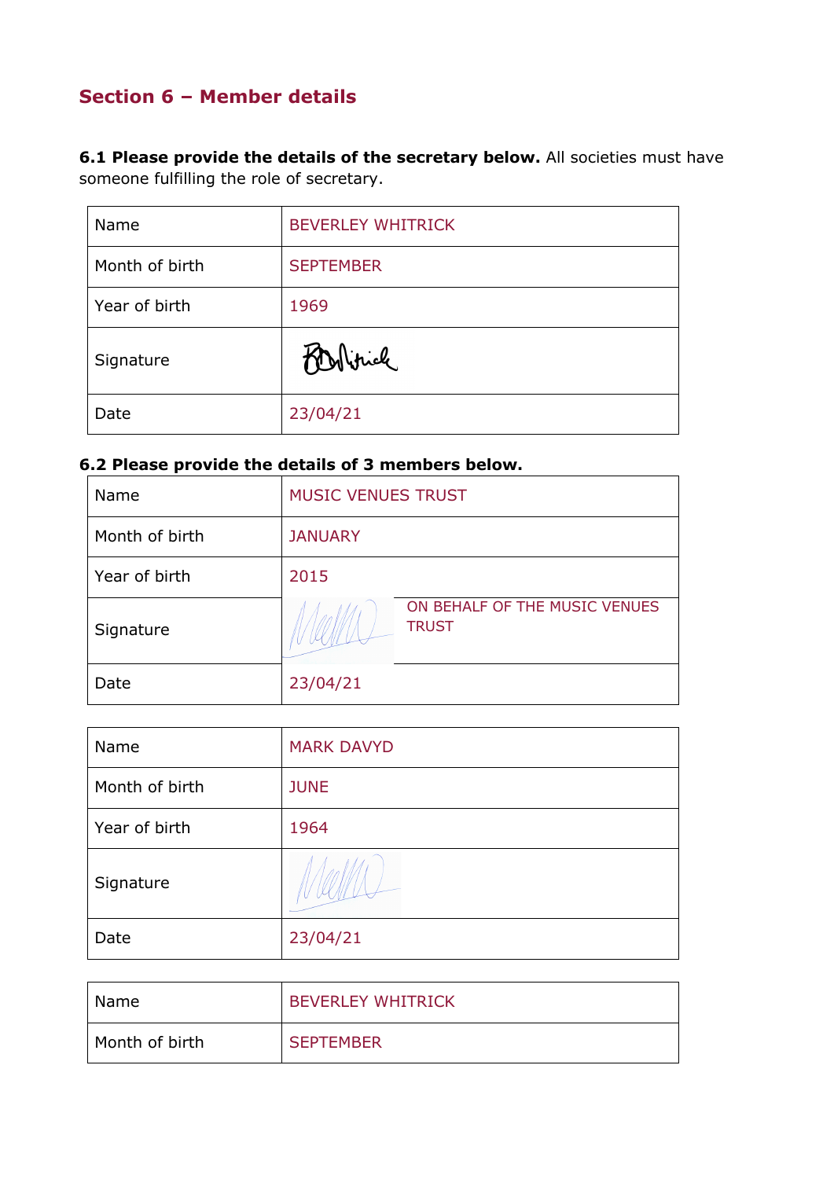# **Section 6 – Member details**

**6.1 Please provide the details of the secretary below.** All societies must have someone fulfilling the role of secretary.

| Name           | <b>BEVERLEY WHITRICK</b> |
|----------------|--------------------------|
| Month of birth | <b>SEPTEMBER</b>         |
| Year of birth  | 1969                     |
| Signature      | Politica                 |
| Date           | 23/04/21                 |

# **6.2 Please provide the details of 3 members below.**

| Name           | <b>MUSIC VENUES TRUST</b>                     |  |
|----------------|-----------------------------------------------|--|
| Month of birth | <b>JANUARY</b>                                |  |
| Year of birth  | 2015                                          |  |
| Signature      | ON BEHALF OF THE MUSIC VENUES<br><b>TRUST</b> |  |
| Date           | 23/04/21                                      |  |

| Name           | <b>MARK DAVYD</b> |
|----------------|-------------------|
| Month of birth | <b>JUNE</b>       |
| Year of birth  | 1964              |
| Signature      |                   |
| Date           | 23/04/21          |

| <b>Name</b>    | <b>BEVERLEY WHITRICK</b> |
|----------------|--------------------------|
| Month of birth | <b>SEPTEMBER</b>         |